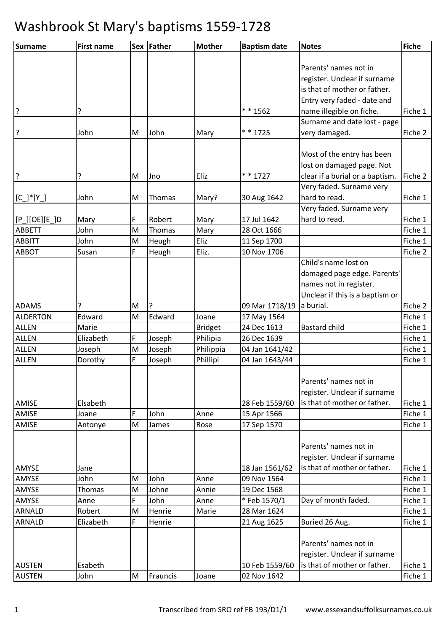| Parents' names not in<br>register. Unclear if surname<br>is that of mother or father.<br>Entry very faded - date and<br>3<br>** 1562<br>?<br>name illegible on fiche.<br>Fiche 1<br>Surname and date lost - page<br>* * 1725<br>?<br>very damaged.<br>John<br>M<br>John<br>Fiche 2<br>Mary<br>Most of the entry has been<br>lost on damaged page. Not<br>?<br>* * 1727<br>clear if a burial or a baptism.<br>?<br>Eliz<br>Fiche 2<br>M<br><b>Jno</b><br>Very faded. Surname very<br>hard to read.<br>John<br>30 Aug 1642<br>Fiche 1<br>$[C_]'*[Y_']$<br>M<br>Thomas<br>Mary?<br>Very faded. Surname very<br>F<br>$[P_\text{]}[OE][E_\text{}]D$<br>Robert<br>17 Jul 1642<br>hard to read.<br>Fiche 1<br>Mary<br>Mary<br><b>ABBETT</b><br>John<br>Mary<br>Fiche 1<br>M<br>Thomas<br>28 Oct 1666<br>Eliz<br><b>ABBITT</b><br>11 Sep 1700<br>Fiche 1<br>John<br>M<br>Heugh<br>F<br>Eliz.<br>10 Nov 1706<br><b>ABBOT</b><br>Susan<br>Heugh<br>Fiche 2<br>Child's name lost on<br>damaged page edge. Parents'<br>names not in register.<br>Unclear if this is a baptism or<br>a burial.<br>09 Mar 1718/19<br>Fiche 2<br><b>ADAMS</b><br>M<br>?<br>M<br>Edward<br><b>ALDERTON</b><br>Edward<br>Fiche 1<br>Joane<br>17 May 1564<br><b>ALLEN</b><br>Marie<br>24 Dec 1613<br><b>Bastard child</b><br>Fiche 1<br><b>Bridget</b><br>F<br>Philipia<br><b>ALLEN</b><br>Elizabeth<br>26 Dec 1639<br>Fiche 1<br>Joseph<br><b>ALLEN</b><br>Philippia<br>04 Jan 1641/42<br>Joseph<br>M<br>Joseph<br>Fiche 1<br>F<br><b>ALLEN</b><br>Phillipi<br>Dorothy<br>04 Jan 1643/44<br>Fiche 1<br>Joseph<br>Parents' names not in<br>register. Unclear if surname<br>is that of mother or father.<br>AMISE<br>28 Feb 1559/60<br>Fiche 1<br>Elsabeth<br>F<br>Fiche 1<br>AMISE<br>John<br>15 Apr 1566<br>Anne<br>Joane |
|------------------------------------------------------------------------------------------------------------------------------------------------------------------------------------------------------------------------------------------------------------------------------------------------------------------------------------------------------------------------------------------------------------------------------------------------------------------------------------------------------------------------------------------------------------------------------------------------------------------------------------------------------------------------------------------------------------------------------------------------------------------------------------------------------------------------------------------------------------------------------------------------------------------------------------------------------------------------------------------------------------------------------------------------------------------------------------------------------------------------------------------------------------------------------------------------------------------------------------------------------------------------------------------------------------------------------------------------------------------------------------------------------------------------------------------------------------------------------------------------------------------------------------------------------------------------------------------------------------------------------------------------------------------------------------------------------------------------------------------------------------------------------------------|
|                                                                                                                                                                                                                                                                                                                                                                                                                                                                                                                                                                                                                                                                                                                                                                                                                                                                                                                                                                                                                                                                                                                                                                                                                                                                                                                                                                                                                                                                                                                                                                                                                                                                                                                                                                                          |
|                                                                                                                                                                                                                                                                                                                                                                                                                                                                                                                                                                                                                                                                                                                                                                                                                                                                                                                                                                                                                                                                                                                                                                                                                                                                                                                                                                                                                                                                                                                                                                                                                                                                                                                                                                                          |
|                                                                                                                                                                                                                                                                                                                                                                                                                                                                                                                                                                                                                                                                                                                                                                                                                                                                                                                                                                                                                                                                                                                                                                                                                                                                                                                                                                                                                                                                                                                                                                                                                                                                                                                                                                                          |
|                                                                                                                                                                                                                                                                                                                                                                                                                                                                                                                                                                                                                                                                                                                                                                                                                                                                                                                                                                                                                                                                                                                                                                                                                                                                                                                                                                                                                                                                                                                                                                                                                                                                                                                                                                                          |
|                                                                                                                                                                                                                                                                                                                                                                                                                                                                                                                                                                                                                                                                                                                                                                                                                                                                                                                                                                                                                                                                                                                                                                                                                                                                                                                                                                                                                                                                                                                                                                                                                                                                                                                                                                                          |
|                                                                                                                                                                                                                                                                                                                                                                                                                                                                                                                                                                                                                                                                                                                                                                                                                                                                                                                                                                                                                                                                                                                                                                                                                                                                                                                                                                                                                                                                                                                                                                                                                                                                                                                                                                                          |
|                                                                                                                                                                                                                                                                                                                                                                                                                                                                                                                                                                                                                                                                                                                                                                                                                                                                                                                                                                                                                                                                                                                                                                                                                                                                                                                                                                                                                                                                                                                                                                                                                                                                                                                                                                                          |
|                                                                                                                                                                                                                                                                                                                                                                                                                                                                                                                                                                                                                                                                                                                                                                                                                                                                                                                                                                                                                                                                                                                                                                                                                                                                                                                                                                                                                                                                                                                                                                                                                                                                                                                                                                                          |
|                                                                                                                                                                                                                                                                                                                                                                                                                                                                                                                                                                                                                                                                                                                                                                                                                                                                                                                                                                                                                                                                                                                                                                                                                                                                                                                                                                                                                                                                                                                                                                                                                                                                                                                                                                                          |
|                                                                                                                                                                                                                                                                                                                                                                                                                                                                                                                                                                                                                                                                                                                                                                                                                                                                                                                                                                                                                                                                                                                                                                                                                                                                                                                                                                                                                                                                                                                                                                                                                                                                                                                                                                                          |
|                                                                                                                                                                                                                                                                                                                                                                                                                                                                                                                                                                                                                                                                                                                                                                                                                                                                                                                                                                                                                                                                                                                                                                                                                                                                                                                                                                                                                                                                                                                                                                                                                                                                                                                                                                                          |
|                                                                                                                                                                                                                                                                                                                                                                                                                                                                                                                                                                                                                                                                                                                                                                                                                                                                                                                                                                                                                                                                                                                                                                                                                                                                                                                                                                                                                                                                                                                                                                                                                                                                                                                                                                                          |
|                                                                                                                                                                                                                                                                                                                                                                                                                                                                                                                                                                                                                                                                                                                                                                                                                                                                                                                                                                                                                                                                                                                                                                                                                                                                                                                                                                                                                                                                                                                                                                                                                                                                                                                                                                                          |
|                                                                                                                                                                                                                                                                                                                                                                                                                                                                                                                                                                                                                                                                                                                                                                                                                                                                                                                                                                                                                                                                                                                                                                                                                                                                                                                                                                                                                                                                                                                                                                                                                                                                                                                                                                                          |
|                                                                                                                                                                                                                                                                                                                                                                                                                                                                                                                                                                                                                                                                                                                                                                                                                                                                                                                                                                                                                                                                                                                                                                                                                                                                                                                                                                                                                                                                                                                                                                                                                                                                                                                                                                                          |
|                                                                                                                                                                                                                                                                                                                                                                                                                                                                                                                                                                                                                                                                                                                                                                                                                                                                                                                                                                                                                                                                                                                                                                                                                                                                                                                                                                                                                                                                                                                                                                                                                                                                                                                                                                                          |
|                                                                                                                                                                                                                                                                                                                                                                                                                                                                                                                                                                                                                                                                                                                                                                                                                                                                                                                                                                                                                                                                                                                                                                                                                                                                                                                                                                                                                                                                                                                                                                                                                                                                                                                                                                                          |
|                                                                                                                                                                                                                                                                                                                                                                                                                                                                                                                                                                                                                                                                                                                                                                                                                                                                                                                                                                                                                                                                                                                                                                                                                                                                                                                                                                                                                                                                                                                                                                                                                                                                                                                                                                                          |
|                                                                                                                                                                                                                                                                                                                                                                                                                                                                                                                                                                                                                                                                                                                                                                                                                                                                                                                                                                                                                                                                                                                                                                                                                                                                                                                                                                                                                                                                                                                                                                                                                                                                                                                                                                                          |
|                                                                                                                                                                                                                                                                                                                                                                                                                                                                                                                                                                                                                                                                                                                                                                                                                                                                                                                                                                                                                                                                                                                                                                                                                                                                                                                                                                                                                                                                                                                                                                                                                                                                                                                                                                                          |
|                                                                                                                                                                                                                                                                                                                                                                                                                                                                                                                                                                                                                                                                                                                                                                                                                                                                                                                                                                                                                                                                                                                                                                                                                                                                                                                                                                                                                                                                                                                                                                                                                                                                                                                                                                                          |
|                                                                                                                                                                                                                                                                                                                                                                                                                                                                                                                                                                                                                                                                                                                                                                                                                                                                                                                                                                                                                                                                                                                                                                                                                                                                                                                                                                                                                                                                                                                                                                                                                                                                                                                                                                                          |
|                                                                                                                                                                                                                                                                                                                                                                                                                                                                                                                                                                                                                                                                                                                                                                                                                                                                                                                                                                                                                                                                                                                                                                                                                                                                                                                                                                                                                                                                                                                                                                                                                                                                                                                                                                                          |
|                                                                                                                                                                                                                                                                                                                                                                                                                                                                                                                                                                                                                                                                                                                                                                                                                                                                                                                                                                                                                                                                                                                                                                                                                                                                                                                                                                                                                                                                                                                                                                                                                                                                                                                                                                                          |
|                                                                                                                                                                                                                                                                                                                                                                                                                                                                                                                                                                                                                                                                                                                                                                                                                                                                                                                                                                                                                                                                                                                                                                                                                                                                                                                                                                                                                                                                                                                                                                                                                                                                                                                                                                                          |
|                                                                                                                                                                                                                                                                                                                                                                                                                                                                                                                                                                                                                                                                                                                                                                                                                                                                                                                                                                                                                                                                                                                                                                                                                                                                                                                                                                                                                                                                                                                                                                                                                                                                                                                                                                                          |
|                                                                                                                                                                                                                                                                                                                                                                                                                                                                                                                                                                                                                                                                                                                                                                                                                                                                                                                                                                                                                                                                                                                                                                                                                                                                                                                                                                                                                                                                                                                                                                                                                                                                                                                                                                                          |
|                                                                                                                                                                                                                                                                                                                                                                                                                                                                                                                                                                                                                                                                                                                                                                                                                                                                                                                                                                                                                                                                                                                                                                                                                                                                                                                                                                                                                                                                                                                                                                                                                                                                                                                                                                                          |
|                                                                                                                                                                                                                                                                                                                                                                                                                                                                                                                                                                                                                                                                                                                                                                                                                                                                                                                                                                                                                                                                                                                                                                                                                                                                                                                                                                                                                                                                                                                                                                                                                                                                                                                                                                                          |
|                                                                                                                                                                                                                                                                                                                                                                                                                                                                                                                                                                                                                                                                                                                                                                                                                                                                                                                                                                                                                                                                                                                                                                                                                                                                                                                                                                                                                                                                                                                                                                                                                                                                                                                                                                                          |
|                                                                                                                                                                                                                                                                                                                                                                                                                                                                                                                                                                                                                                                                                                                                                                                                                                                                                                                                                                                                                                                                                                                                                                                                                                                                                                                                                                                                                                                                                                                                                                                                                                                                                                                                                                                          |
|                                                                                                                                                                                                                                                                                                                                                                                                                                                                                                                                                                                                                                                                                                                                                                                                                                                                                                                                                                                                                                                                                                                                                                                                                                                                                                                                                                                                                                                                                                                                                                                                                                                                                                                                                                                          |
|                                                                                                                                                                                                                                                                                                                                                                                                                                                                                                                                                                                                                                                                                                                                                                                                                                                                                                                                                                                                                                                                                                                                                                                                                                                                                                                                                                                                                                                                                                                                                                                                                                                                                                                                                                                          |
|                                                                                                                                                                                                                                                                                                                                                                                                                                                                                                                                                                                                                                                                                                                                                                                                                                                                                                                                                                                                                                                                                                                                                                                                                                                                                                                                                                                                                                                                                                                                                                                                                                                                                                                                                                                          |
| AMISE<br>M<br>Fiche 1<br>James<br>Rose<br>17 Sep 1570<br>Antonye                                                                                                                                                                                                                                                                                                                                                                                                                                                                                                                                                                                                                                                                                                                                                                                                                                                                                                                                                                                                                                                                                                                                                                                                                                                                                                                                                                                                                                                                                                                                                                                                                                                                                                                         |
|                                                                                                                                                                                                                                                                                                                                                                                                                                                                                                                                                                                                                                                                                                                                                                                                                                                                                                                                                                                                                                                                                                                                                                                                                                                                                                                                                                                                                                                                                                                                                                                                                                                                                                                                                                                          |
| Parents' names not in                                                                                                                                                                                                                                                                                                                                                                                                                                                                                                                                                                                                                                                                                                                                                                                                                                                                                                                                                                                                                                                                                                                                                                                                                                                                                                                                                                                                                                                                                                                                                                                                                                                                                                                                                                    |
| register. Unclear if surname                                                                                                                                                                                                                                                                                                                                                                                                                                                                                                                                                                                                                                                                                                                                                                                                                                                                                                                                                                                                                                                                                                                                                                                                                                                                                                                                                                                                                                                                                                                                                                                                                                                                                                                                                             |
| is that of mother or father.<br>AMYSE<br>18 Jan 1561/62<br>Fiche 1<br>Jane                                                                                                                                                                                                                                                                                                                                                                                                                                                                                                                                                                                                                                                                                                                                                                                                                                                                                                                                                                                                                                                                                                                                                                                                                                                                                                                                                                                                                                                                                                                                                                                                                                                                                                               |
| Fiche 1<br>John<br>09 Nov 1564<br>AMYSE<br>John<br>M<br>Anne                                                                                                                                                                                                                                                                                                                                                                                                                                                                                                                                                                                                                                                                                                                                                                                                                                                                                                                                                                                                                                                                                                                                                                                                                                                                                                                                                                                                                                                                                                                                                                                                                                                                                                                             |
| AMYSE<br>M<br>Johne<br>19 Dec 1568<br>Fiche 1<br>Thomas<br>Annie                                                                                                                                                                                                                                                                                                                                                                                                                                                                                                                                                                                                                                                                                                                                                                                                                                                                                                                                                                                                                                                                                                                                                                                                                                                                                                                                                                                                                                                                                                                                                                                                                                                                                                                         |
| Day of month faded.<br>F<br>John<br>*Feb 1570/1<br>AMYSE<br>Fiche 1<br>Anne<br>Anne                                                                                                                                                                                                                                                                                                                                                                                                                                                                                                                                                                                                                                                                                                                                                                                                                                                                                                                                                                                                                                                                                                                                                                                                                                                                                                                                                                                                                                                                                                                                                                                                                                                                                                      |
| ARNALD<br>Marie<br>28 Mar 1624<br>Fiche 1<br>Robert<br>M<br>Henrie                                                                                                                                                                                                                                                                                                                                                                                                                                                                                                                                                                                                                                                                                                                                                                                                                                                                                                                                                                                                                                                                                                                                                                                                                                                                                                                                                                                                                                                                                                                                                                                                                                                                                                                       |
| F<br>Buried 26 Aug.<br>ARNALD<br>Elizabeth<br>Henrie<br>21 Aug 1625<br>Fiche 1                                                                                                                                                                                                                                                                                                                                                                                                                                                                                                                                                                                                                                                                                                                                                                                                                                                                                                                                                                                                                                                                                                                                                                                                                                                                                                                                                                                                                                                                                                                                                                                                                                                                                                           |
|                                                                                                                                                                                                                                                                                                                                                                                                                                                                                                                                                                                                                                                                                                                                                                                                                                                                                                                                                                                                                                                                                                                                                                                                                                                                                                                                                                                                                                                                                                                                                                                                                                                                                                                                                                                          |
| Parents' names not in                                                                                                                                                                                                                                                                                                                                                                                                                                                                                                                                                                                                                                                                                                                                                                                                                                                                                                                                                                                                                                                                                                                                                                                                                                                                                                                                                                                                                                                                                                                                                                                                                                                                                                                                                                    |
| register. Unclear if surname                                                                                                                                                                                                                                                                                                                                                                                                                                                                                                                                                                                                                                                                                                                                                                                                                                                                                                                                                                                                                                                                                                                                                                                                                                                                                                                                                                                                                                                                                                                                                                                                                                                                                                                                                             |
| is that of mother or father.<br><b>AUSTEN</b><br>Esabeth<br>10 Feb 1559/60<br>Fiche 1                                                                                                                                                                                                                                                                                                                                                                                                                                                                                                                                                                                                                                                                                                                                                                                                                                                                                                                                                                                                                                                                                                                                                                                                                                                                                                                                                                                                                                                                                                                                                                                                                                                                                                    |
| <b>AUSTEN</b><br>02 Nov 1642<br>Fiche 1<br>John<br>M<br>Frauncis<br>Joane                                                                                                                                                                                                                                                                                                                                                                                                                                                                                                                                                                                                                                                                                                                                                                                                                                                                                                                                                                                                                                                                                                                                                                                                                                                                                                                                                                                                                                                                                                                                                                                                                                                                                                                |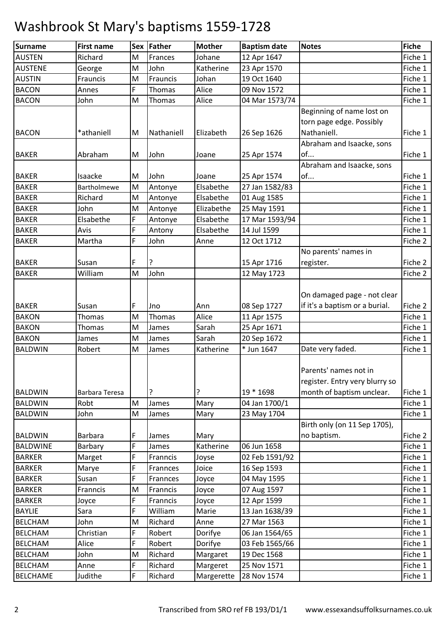| <b>Surname</b>  | <b>First name</b> |   | Sex Father | <b>Mother</b> | <b>Baptism date</b> | <b>Notes</b>                                                                         | <b>Fiche</b> |
|-----------------|-------------------|---|------------|---------------|---------------------|--------------------------------------------------------------------------------------|--------------|
| <b>AUSTEN</b>   | Richard           | M | Frances    | Johane        | 12 Apr 1647         |                                                                                      | Fiche 1      |
| <b>AUSTENE</b>  | George            | M | John       | Katherine     | 23 Apr 1570         |                                                                                      | Fiche 1      |
| <b>AUSTIN</b>   | Frauncis          | M | Frauncis   | Johan         | 19 Oct 1640         |                                                                                      | Fiche 1      |
| <b>BACON</b>    | Annes             | F | Thomas     | Alice         | 09 Nov 1572         |                                                                                      | Fiche 1      |
| <b>BACON</b>    | John              | M | Thomas     | Alice         | 04 Mar 1573/74      |                                                                                      | Fiche 1      |
|                 |                   |   |            |               |                     | Beginning of name lost on<br>torn page edge. Possibly                                |              |
| <b>BACON</b>    | *athaniell        | M | Nathaniell | Elizabeth     | 26 Sep 1626         | Nathaniell.                                                                          | Fiche 1      |
|                 |                   |   |            |               |                     | Abraham and Isaacke, sons                                                            |              |
| <b>BAKER</b>    | Abraham           | M | John       | Joane         | 25 Apr 1574         | of                                                                                   | Fiche 1      |
|                 |                   |   |            |               |                     | Abraham and Isaacke, sons                                                            |              |
| <b>BAKER</b>    | Isaacke           | M | John       | Joane         | 25 Apr 1574         | of                                                                                   | Fiche 1      |
| <b>BAKER</b>    | Bartholmewe       | M | Antonye    | Elsabethe     | 27 Jan 1582/83      |                                                                                      | Fiche 1      |
| <b>BAKER</b>    | Richard           | M | Antonye    | Elsabethe     | 01 Aug 1585         |                                                                                      | Fiche 1      |
| <b>BAKER</b>    | John              | M | Antonye    | Elizabethe    | 25 May 1591         |                                                                                      | Fiche 1      |
| <b>BAKER</b>    | Elsabethe         | F | Antonye    | Elsabethe     | 17 Mar 1593/94      |                                                                                      | Fiche 1      |
| <b>BAKER</b>    | Avis              | F | Antony     | Elsabethe     | 14 Jul 1599         |                                                                                      | Fiche 1      |
| <b>BAKER</b>    | Martha            | F | John       | Anne          | 12 Oct 1712         |                                                                                      | Fiche 2      |
|                 |                   |   |            |               |                     | No parents' names in                                                                 |              |
| <b>BAKER</b>    | Susan             | F | ?          |               | 15 Apr 1716         | register.                                                                            | Fiche 2      |
| <b>BAKER</b>    | William           | M | John       |               | 12 May 1723         |                                                                                      | Fiche 2      |
|                 |                   |   |            |               |                     |                                                                                      |              |
|                 |                   |   |            |               |                     | On damaged page - not clear                                                          |              |
| <b>BAKER</b>    | Susan             | F | Jno        | Ann           | 08 Sep 1727         | if it's a baptism or a burial.                                                       | Fiche 2      |
| <b>BAKON</b>    | Thomas            | M | Thomas     | Alice         | 11 Apr 1575         |                                                                                      | Fiche 1      |
| <b>BAKON</b>    | Thomas            | M | James      | Sarah         | 25 Apr 1671         |                                                                                      | Fiche 1      |
| <b>BAKON</b>    | James             | M | James      | Sarah         | 20 Sep 1672         |                                                                                      | Fiche 1      |
| <b>BALDWIN</b>  | Robert            | M | James      | Katherine     | * Jun 1647          | Date very faded.                                                                     | Fiche 1      |
| <b>BALDWIN</b>  | Barbara Teresa    |   | ?          | ?             | 19 * 1698           | Parents' names not in<br>register. Entry very blurry so<br>month of baptism unclear. | Fiche 1      |
| <b>BALDWIN</b>  | Robt              | M | James      | Mary          | 04 Jan 1700/1       |                                                                                      | Fiche 1      |
| <b>BALDWIN</b>  | John              | M | James      | Mary          | 23 May 1704         |                                                                                      | Fiche 1      |
| <b>BALDWIN</b>  | Barbara           | F | James      | Mary          |                     | Birth only (on 11 Sep 1705),<br>no baptism.                                          | Fiche 2      |
| <b>BALDWINE</b> | Barbary           | F | James      | Katherine     | 06 Jun 1658         |                                                                                      | Fiche 1      |
| <b>BARKER</b>   | Marget            | F | Franncis   | Joyse         | 02 Feb 1591/92      |                                                                                      | Fiche 1      |
| <b>BARKER</b>   | Marye             | F | Frannces   | Joice         | 16 Sep 1593         |                                                                                      | Fiche 1      |
| <b>BARKER</b>   | Susan             | F | Frannces   | Joyce         | 04 May 1595         |                                                                                      | Fiche 1      |
| <b>BARKER</b>   | Franncis          | M | Franncis   | Joyce         | 07 Aug 1597         |                                                                                      | Fiche 1      |
| <b>BARKER</b>   | Joyce             | F | Franncis   | Joyce         | 12 Apr 1599         |                                                                                      | Fiche 1      |
| <b>BAYLIE</b>   | Sara              | F | William    | Marie         | 13 Jan 1638/39      |                                                                                      | Fiche 1      |
| <b>BELCHAM</b>  | John              | M | Richard    | Anne          | 27 Mar 1563         |                                                                                      | Fiche 1      |
| <b>BELCHAM</b>  | Christian         | F | Robert     | Dorifye       | 06 Jan 1564/65      |                                                                                      | Fiche 1      |
| <b>BELCHAM</b>  | Alice             | F | Robert     | Dorifye       | 03 Feb 1565/66      |                                                                                      | Fiche 1      |
| <b>BELCHAM</b>  | John              | M | Richard    | Margaret      | 19 Dec 1568         |                                                                                      | Fiche 1      |
| <b>BELCHAM</b>  | Anne              | F | Richard    | Margeret      | 25 Nov 1571         |                                                                                      | Fiche 1      |
| <b>BELCHAME</b> | Judithe           | F | Richard    | Margerette    | 28 Nov 1574         |                                                                                      | Fiche 1      |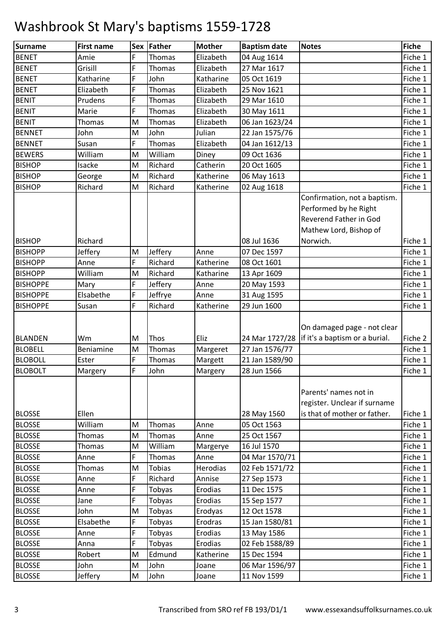| <b>Surname</b>  | <b>First name</b> |           | Sex Father | <b>Mother</b> | <b>Baptism date</b> | <b>Notes</b>                                   | <b>Fiche</b> |
|-----------------|-------------------|-----------|------------|---------------|---------------------|------------------------------------------------|--------------|
| <b>BENET</b>    | Amie              | F         | Thomas     | Elizabeth     | 04 Aug 1614         |                                                | Fiche 1      |
| <b>BENET</b>    | Grisill           | F         | Thomas     | Elizabeth     | 27 Mar 1617         |                                                | Fiche 1      |
| <b>BENET</b>    | Katharine         | F         | John       | Katharine     | 05 Oct 1619         |                                                | Fiche 1      |
| <b>BENET</b>    | Elizabeth         | F         | Thomas     | Elizabeth     | 25 Nov 1621         |                                                | Fiche 1      |
| <b>BENIT</b>    | Prudens           | F         | Thomas     | Elizabeth     | 29 Mar 1610         |                                                | Fiche 1      |
| <b>BENIT</b>    | Marie             | F         | Thomas     | Elizabeth     | 30 May 1611         |                                                | Fiche 1      |
| <b>BENIT</b>    | Thomas            | M         | Thomas     | Elizabeth     | 06 Jan 1623/24      |                                                | Fiche 1      |
| <b>BENNET</b>   | John              | M         | John       | Julian        | 22 Jan 1575/76      |                                                | Fiche 1      |
| <b>BENNET</b>   | Susan             | F         | Thomas     | Elizabeth     | 04 Jan 1612/13      |                                                | Fiche 1      |
| <b>BEWERS</b>   | William           | M         | William    | Diney         | 09 Oct 1636         |                                                | Fiche 1      |
| <b>BISHOP</b>   | Isacke            | M         | Richard    | Catherin      | 20 Oct 1605         |                                                | Fiche 1      |
| <b>BISHOP</b>   | George            | M         | Richard    | Katherine     | 06 May 1613         |                                                | Fiche 1      |
| <b>BISHOP</b>   | Richard           | M         | Richard    | Katherine     | 02 Aug 1618         |                                                | Fiche 1      |
|                 |                   |           |            |               |                     | Confirmation, not a baptism.                   |              |
|                 |                   |           |            |               |                     | Performed by he Right                          |              |
|                 |                   |           |            |               |                     | <b>Reverend Father in God</b>                  |              |
|                 |                   |           |            |               |                     | Mathew Lord, Bishop of                         |              |
| <b>BISHOP</b>   | Richard           |           |            |               | 08 Jul 1636         | Norwich.                                       | Fiche 1      |
| <b>BISHOPP</b>  | Jeffery           | M         | Jeffery    | Anne          | 07 Dec 1597         |                                                | Fiche 1      |
| <b>BISHOPP</b>  | Anne              | F         | Richard    | Katherine     | 08 Oct 1601         |                                                | Fiche 1      |
| <b>BISHOPP</b>  | William           | M         | Richard    | Katharine     | 13 Apr 1609         |                                                | Fiche 1      |
| <b>BISHOPPE</b> | Mary              | F         | Jeffery    | Anne          | 20 May 1593         |                                                | Fiche 1      |
| <b>BISHOPPE</b> | Elsabethe         | F         | Jeffrye    | Anne          | 31 Aug 1595         |                                                | Fiche 1      |
| <b>BISHOPPE</b> | Susan             | F         | Richard    | Katherine     | 29 Jun 1600         |                                                | Fiche 1      |
|                 |                   |           |            |               |                     |                                                |              |
|                 |                   |           |            |               |                     | On damaged page - not clear                    |              |
| <b>BLANDEN</b>  | Wm                | M         | Thos       | Eliz          |                     | 24 Mar 1727/28 lif it's a baptism or a burial. | Fiche 2      |
| <b>BLOBELL</b>  | Beniamine         | M         | Thomas     | Margeret      | 27 Jan 1576/77      |                                                | Fiche 1      |
| <b>BLOBOLL</b>  | Ester             | F         | Thomas     | Margett       | 21 Jan 1589/90      |                                                | Fiche 1      |
| <b>BLOBOLT</b>  | Margery           | F         | John       | Margery       | 28 Jun 1566         |                                                | Fiche 1      |
|                 |                   |           |            |               |                     |                                                |              |
|                 |                   |           |            |               |                     | Parents' names not in                          |              |
|                 |                   |           |            |               |                     | register. Unclear if surname                   |              |
| <b>BLOSSE</b>   | Ellen             |           |            |               | 28 May 1560         | is that of mother or father.                   | Fiche 1      |
| <b>BLOSSE</b>   | William           | M         | Thomas     | Anne          | 05 Oct 1563         |                                                | Fiche 1      |
| <b>BLOSSE</b>   | Thomas            | ${\sf M}$ | Thomas     | Anne          | 25 Oct 1567         |                                                | Fiche 1      |
| <b>BLOSSE</b>   | Thomas            | M         | William    | Margerye      | 16 Jul 1570         |                                                | Fiche 1      |
| <b>BLOSSE</b>   | Anne              | F         | Thomas     | Anne          | 04 Mar 1570/71      |                                                | Fiche 1      |
| <b>BLOSSE</b>   | Thomas            | M         | Tobias     | Herodias      | 02 Feb 1571/72      |                                                | Fiche 1      |
| <b>BLOSSE</b>   | Anne              | F         | Richard    | Annise        | 27 Sep 1573         |                                                | Fiche 1      |
| <b>BLOSSE</b>   | Anne              | F         | Tobyas     | Erodias       | 11 Dec 1575         |                                                | Fiche 1      |
| <b>BLOSSE</b>   | Jane              | F         | Tobyas     | Erodias       | 15 Sep 1577         |                                                | Fiche 1      |
| <b>BLOSSE</b>   | John              | M         | Tobyas     | Erodyas       | 12 Oct 1578         |                                                | Fiche 1      |
| <b>BLOSSE</b>   | Elsabethe         | F         | Tobyas     | Erodras       | 15 Jan 1580/81      |                                                | Fiche 1      |
| <b>BLOSSE</b>   | Anne              | F         | Tobyas     | Erodias       | 13 May 1586         |                                                | Fiche 1      |
| <b>BLOSSE</b>   | Anna              | F         | Tobyas     | Erodias       | 02 Feb 1588/89      |                                                | Fiche 1      |
| <b>BLOSSE</b>   | Robert            | M         | Edmund     | Katherine     | 15 Dec 1594         |                                                | Fiche 1      |
| <b>BLOSSE</b>   | John              | M         | John       | Joane         | 06 Mar 1596/97      |                                                | Fiche 1      |
| <b>BLOSSE</b>   | Jeffery           | M         | John       | Joane         | 11 Nov 1599         |                                                | Fiche 1      |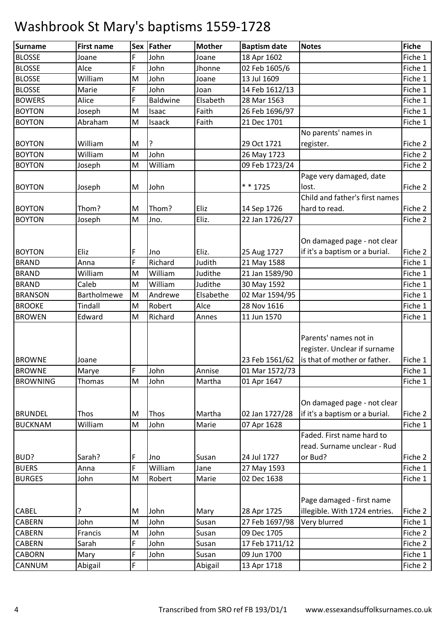| <b>Surname</b>  | <b>First name</b> |           | Sex Father   | <b>Mother</b> | <b>Baptism date</b> | <b>Notes</b>                   | <b>Fiche</b>       |
|-----------------|-------------------|-----------|--------------|---------------|---------------------|--------------------------------|--------------------|
| <b>BLOSSE</b>   | Joane             | F         | John         | Joane         | 18 Apr 1602         |                                | Fiche 1            |
| <b>BLOSSE</b>   | Alce              | F         | John         | Jhonne        | 02 Feb 1605/6       |                                | Fiche 1            |
| <b>BLOSSE</b>   | William           | M         | John         | Joane         | 13 Jul 1609         |                                | Fiche 1            |
| <b>BLOSSE</b>   | Marie             | F         | John         | Joan          | 14 Feb 1612/13      |                                | Fiche 1            |
| <b>BOWERS</b>   | Alice             | F         | Baldwine     | Elsabeth      | 28 Mar 1563         |                                | Fiche 1            |
| <b>BOYTON</b>   | Joseph            | M         | Isaac        | Faith         | 26 Feb 1696/97      |                                | Fiche 1            |
| <b>BOYTON</b>   | Abraham           | M         | Isaack       | Faith         | 21 Dec 1701         |                                | Fiche 1            |
|                 |                   |           |              |               |                     | No parents' names in           |                    |
| <b>BOYTON</b>   | William           | M         | ?            |               | 29 Oct 1721         | register.                      | Fiche 2            |
| <b>BOYTON</b>   | William           | M         | John         |               | 26 May 1723         |                                | Fiche 2            |
| <b>BOYTON</b>   | Joseph            | M         | William      |               | 09 Feb 1723/24      |                                | Fiche 2            |
|                 |                   |           |              |               |                     | Page very damaged, date        |                    |
| <b>BOYTON</b>   | Joseph            | M         | John         |               | * * 1725            | lost.                          | Fiche 2            |
|                 |                   |           |              |               |                     | Child and father's first names |                    |
| <b>BOYTON</b>   | Thom?             | M         | Thom?        | Eliz          | 14 Sep 1726         | hard to read.                  | Fiche 2            |
| <b>BOYTON</b>   | Joseph            | M         | Jno.         | Eliz.         | 22 Jan 1726/27      |                                | Fiche 2            |
|                 |                   |           |              |               |                     |                                |                    |
|                 |                   |           |              |               |                     | On damaged page - not clear    |                    |
| <b>BOYTON</b>   | Eliz              | F         | Jno          | Eliz.         | 25 Aug 1727         | if it's a baptism or a burial. | Fiche 2            |
| <b>BRAND</b>    | Anna              | F         | Richard      | Judith        | 21 May 1588         |                                | Fiche 1            |
| <b>BRAND</b>    | William           | M         | William      | Judithe       | 21 Jan 1589/90      |                                | Fiche 1            |
| <b>BRAND</b>    | Caleb             | M         | William      | Judithe       | 30 May 1592         |                                | Fiche 1            |
| <b>BRANSON</b>  | Bartholmewe       | M         | Andrewe      | Elsabethe     | 02 Mar 1594/95      |                                | Fiche 1            |
| <b>BROOKE</b>   | Tindall           | M         | Robert       | Alce          | 28 Nov 1616         |                                | Fiche 1            |
| <b>BROWEN</b>   | Edward            | M         | Richard      | Annes         | 11 Jun 1570         |                                | Fiche 1            |
|                 |                   |           |              |               |                     |                                |                    |
|                 |                   |           |              |               |                     | Parents' names not in          |                    |
|                 |                   |           |              |               |                     | register. Unclear if surname   |                    |
| <b>BROWNE</b>   | Joane             |           |              |               | 23 Feb 1561/62      | is that of mother or father.   | Fiche 1            |
| <b>BROWNE</b>   | Marye             | F         | John         | Annise        | 01 Mar 1572/73      |                                | Fiche 1            |
| <b>BROWNING</b> | Thomas            | ${\sf M}$ | John         | Martha        | 01 Apr 1647         |                                | Fiche 1            |
|                 |                   |           |              |               |                     |                                |                    |
|                 |                   |           |              | Martha        |                     | On damaged page - not clear    |                    |
| <b>BRUNDEL</b>  | Thos              | M<br>M    | Thos<br>John | Marie         | 02 Jan 1727/28      | if it's a baptism or a burial. | Fiche 2<br>Fiche 1 |
| <b>BUCKNAM</b>  | William           |           |              |               | 07 Apr 1628         | Faded. First name hard to      |                    |
|                 |                   |           |              |               |                     | read. Surname unclear - Rud    |                    |
| BUD?            | Sarah?            | F         | Jno          | Susan         | 24 Jul 1727         | or Bud?                        | Fiche 2            |
| <b>BUERS</b>    | Anna              | F         | William      | Jane          | 27 May 1593         |                                | Fiche 1            |
| <b>BURGES</b>   | John              | M         | Robert       | Marie         | 02 Dec 1638         |                                | Fiche 1            |
|                 |                   |           |              |               |                     |                                |                    |
|                 |                   |           |              |               |                     | Page damaged - first name      |                    |
| CABEL           | ?                 | M         | John         | Mary          | 28 Apr 1725         | illegible. With 1724 entries.  | Fiche 2            |
| <b>CABERN</b>   | John              | M         | John         | Susan         | 27 Feb 1697/98      | Very blurred                   | Fiche 1            |
| <b>CABERN</b>   | Francis           | M         | John         | Susan         | 09 Dec 1705         |                                | Fiche 2            |
| CABERN          | Sarah             | F         | John         | Susan         | 17 Feb 1711/12      |                                | Fiche 2            |
| <b>CABORN</b>   | Mary              | F         | John         | Susan         | 09 Jun 1700         |                                | Fiche 1            |
| CANNUM          | Abigail           | F         |              | Abigail       | 13 Apr 1718         |                                | Fiche 2            |
|                 |                   |           |              |               |                     |                                |                    |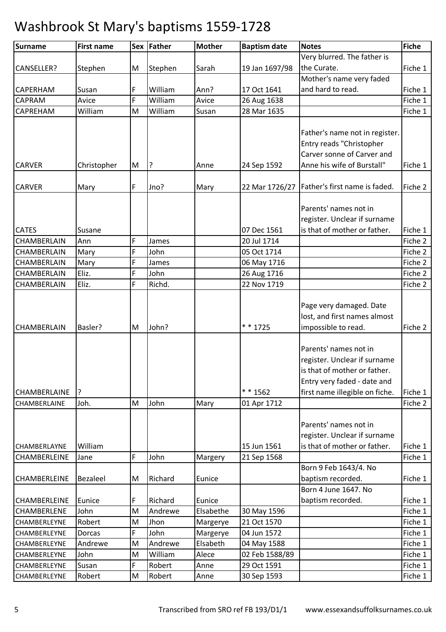| <b>Surname</b>      | <b>First name</b> |   | Sex Father | <b>Mother</b> | <b>Baptism date</b> | <b>Notes</b>                                   | Fiche   |
|---------------------|-------------------|---|------------|---------------|---------------------|------------------------------------------------|---------|
|                     |                   |   |            |               |                     | Very blurred. The father is                    |         |
| CANSELLER?          | Stephen           | M | Stephen    | Sarah         | 19 Jan 1697/98      | the Curate.                                    | Fiche 1 |
|                     |                   |   |            |               |                     | Mother's name very faded                       |         |
| <b>CAPERHAM</b>     | Susan             | F | William    | Ann?          | 17 Oct 1641         | and hard to read.                              | Fiche 1 |
| CAPRAM              | Avice             | F | William    | Avice         | 26 Aug 1638         |                                                | Fiche 1 |
| CAPREHAM            | William           | M | William    | Susan         | 28 Mar 1635         |                                                | Fiche 1 |
|                     |                   |   |            |               |                     |                                                |         |
|                     |                   |   |            |               |                     | Father's name not in register.                 |         |
|                     |                   |   |            |               |                     | Entry reads "Christopher                       |         |
|                     |                   |   |            |               |                     | Carver sonne of Carver and                     |         |
| <b>CARVER</b>       | Christopher       | M | ?          | Anne          | 24 Sep 1592         | Anne his wife of Burstall"                     | Fiche 1 |
|                     |                   |   |            |               |                     |                                                |         |
| <b>CARVER</b>       | Mary              | F | Jno?       | Mary          |                     | 22 Mar 1726/27   Father's first name is faded. | Fiche 2 |
|                     |                   |   |            |               |                     |                                                |         |
|                     |                   |   |            |               |                     | Parents' names not in                          |         |
|                     |                   |   |            |               |                     | register. Unclear if surname                   |         |
| <b>CATES</b>        | Susane            |   |            |               | 07 Dec 1561         | is that of mother or father.                   | Fiche 1 |
| CHAMBERLAIN         | Ann               | F | James      |               | 20 Jul 1714         |                                                | Fiche 2 |
| CHAMBERLAIN         | Mary              | F | John       |               | 05 Oct 1714         |                                                | Fiche 2 |
| CHAMBERLAIN         | Mary              | F | James      |               | 06 May 1716         |                                                | Fiche 2 |
| CHAMBERLAIN         | Eliz.             | F | John       |               | 26 Aug 1716         |                                                | Fiche 2 |
| CHAMBERLAIN         | Eliz.             | F | Richd.     |               | 22 Nov 1719         |                                                | Fiche 2 |
|                     |                   |   |            |               |                     |                                                |         |
|                     |                   |   |            |               |                     | Page very damaged. Date                        |         |
|                     |                   |   |            |               |                     | lost, and first names almost                   |         |
| CHAMBERLAIN         | Basler?           | M | John?      |               | $* * 1725$          | impossible to read.                            | Fiche 2 |
|                     |                   |   |            |               |                     |                                                |         |
|                     |                   |   |            |               |                     | Parents' names not in                          |         |
|                     |                   |   |            |               |                     | register. Unclear if surname                   |         |
|                     |                   |   |            |               |                     | is that of mother or father.                   |         |
|                     |                   |   |            |               |                     | Entry very faded - date and                    |         |
| <b>CHAMBERLAINE</b> | ?                 |   |            |               | * * 1562            | first name illegible on fiche.                 | Fiche 1 |
| CHAMBERLAINE        | Joh.              | M | John       | Mary          | 01 Apr 1712         |                                                | Fiche 2 |
|                     |                   |   |            |               |                     |                                                |         |
|                     |                   |   |            |               |                     | Parents' names not in                          |         |
|                     |                   |   |            |               |                     | register. Unclear if surname                   |         |
| CHAMBERLAYNE        | William           |   |            |               | 15 Jun 1561         | is that of mother or father.                   | Fiche 1 |
| CHAMBERLEINE        | Jane              | F | John       | Margery       | 21 Sep 1568         |                                                | Fiche 1 |
|                     |                   |   |            |               |                     | Born 9 Feb 1643/4. No                          |         |
| <b>CHAMBERLEINE</b> | Bezaleel          | M | Richard    | Eunice        |                     | baptism recorded.                              | Fiche 1 |
|                     |                   |   |            |               |                     | Born 4 June 1647. No                           |         |
| <b>CHAMBERLEINE</b> | Eunice            | F | Richard    | Eunice        |                     | baptism recorded.                              | Fiche 1 |
| CHAMBERLENE         | John              | M | Andrewe    | Elsabethe     | 30 May 1596         |                                                | Fiche 1 |
| CHAMBERLEYNE        | Robert            | M | Jhon       | Margerye      | 21 Oct 1570         |                                                | Fiche 1 |
| CHAMBERLEYNE        | Dorcas            | F | John       | Margerye      | 04 Jun 1572         |                                                | Fiche 1 |
| CHAMBERLEYNE        | Andrewe           | M | Andrewe    | Elsabeth      | 04 May 1588         |                                                | Fiche 1 |
| CHAMBERLEYNE        | John              | M | William    | Alece         | 02 Feb 1588/89      |                                                | Fiche 1 |
| CHAMBERLEYNE        | Susan             | F | Robert     | Anne          | 29 Oct 1591         |                                                | Fiche 1 |
| CHAMBERLEYNE        | Robert            | M | Robert     | Anne          | 30 Sep 1593         |                                                | Fiche 1 |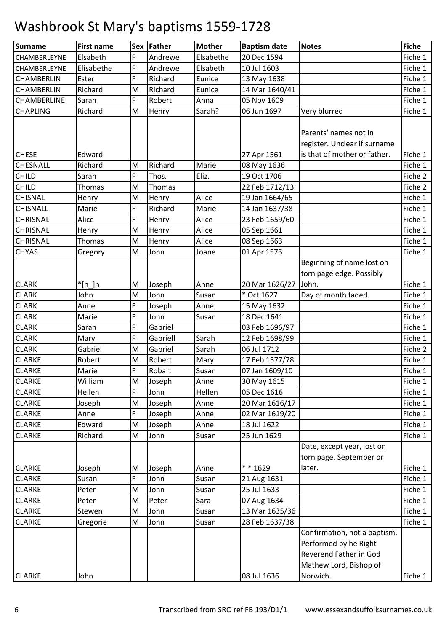| Surname         | <b>First name</b> |   | Sex   Father | <b>Mother</b> | <b>Baptism date</b> | <b>Notes</b>                 | <b>Fiche</b> |
|-----------------|-------------------|---|--------------|---------------|---------------------|------------------------------|--------------|
| CHAMBERLEYNE    | Elsabeth          | F | Andrewe      | Elsabethe     | 20 Dec 1594         |                              | Fiche 1      |
| CHAMBERLEYNE    | Elisabethe        | F | Andrewe      | Elsabeth      | 10 Jul 1603         |                              | Fiche 1      |
| CHAMBERLIN      | Ester             | F | Richard      | Eunice        | 13 May 1638         |                              | Fiche 1      |
| CHAMBERLIN      | Richard           | M | Richard      | Eunice        | 14 Mar 1640/41      |                              | Fiche 1      |
| CHAMBERLINE     | Sarah             | F | Robert       | Anna          | 05 Nov 1609         |                              | Fiche 1      |
| <b>CHAPLING</b> | Richard           | M | Henry        | Sarah?        | 06 Jun 1697         | Very blurred                 | Fiche 1      |
|                 |                   |   |              |               |                     |                              |              |
|                 |                   |   |              |               |                     | Parents' names not in        |              |
|                 |                   |   |              |               |                     | register. Unclear if surname |              |
| <b>CHESE</b>    | Edward            |   |              |               | 27 Apr 1561         | is that of mother or father. | Fiche 1      |
| CHESNALL        | Richard           | M | Richard      | Marie         | 08 May 1636         |                              | Fiche 1      |
| <b>CHILD</b>    | Sarah             | F | Thos.        | Eliz.         | 19 Oct 1706         |                              | Fiche 2      |
| <b>CHILD</b>    | Thomas            | M | Thomas       |               | 22 Feb 1712/13      |                              | Fiche 2      |
| <b>CHISNAL</b>  | Henry             | M | Henry        | Alice         | 19 Jan 1664/65      |                              | Fiche 1      |
| CHISNALL        | Marie             | F | Richard      | Marie         | 14 Jan 1637/38      |                              | Fiche 1      |
| CHRISNAL        | Alice             | F | Henry        | Alice         | 23 Feb 1659/60      |                              | Fiche 1      |
| CHRISNAL        | Henry             | M | Henry        | Alice         | 05 Sep 1661         |                              | Fiche 1      |
| <b>CHRISNAL</b> | Thomas            | M | Henry        | Alice         | 08 Sep 1663         |                              | Fiche 1      |
| <b>CHYAS</b>    | Gregory           | M | John         | Joane         | 01 Apr 1576         |                              | Fiche 1      |
|                 |                   |   |              |               |                     | Beginning of name lost on    |              |
|                 |                   |   |              |               |                     | torn page edge. Possibly     |              |
| <b>CLARK</b>    | $*$ [h_]n         | M | Joseph       | Anne          | 20 Mar 1626/27      | John.                        | Fiche 1      |
| <b>CLARK</b>    | John              | M | John         | Susan         | * Oct 1627          | Day of month faded.          | Fiche 1      |
| <b>CLARK</b>    | Anne              | F | Joseph       | Anne          | 15 May 1632         |                              | Fiche 1      |
| <b>CLARK</b>    | Marie             | F | John         | Susan         | 18 Dec 1641         |                              | Fiche 1      |
| <b>CLARK</b>    | Sarah             | F | Gabriel      |               | 03 Feb 1696/97      |                              | Fiche 1      |
| <b>CLARK</b>    | Mary              | F | Gabriell     | Sarah         | 12 Feb 1698/99      |                              | Fiche 1      |
| <b>CLARK</b>    | Gabriel           | M | Gabriel      | Sarah         | 06 Jul 1712         |                              | Fiche 2      |
| <b>CLARKE</b>   | Robert            | M | Robert       | Mary          | 17 Feb 1577/78      |                              | Fiche 1      |
| <b>CLARKE</b>   | Marie             | F | Robart       | Susan         | 07 Jan 1609/10      |                              | Fiche 1      |
| <b>CLARKE</b>   | William           | M | Joseph       | Anne          | 30 May 1615         |                              | Fiche 1      |
| <b>CLARKE</b>   | Hellen            | F | John         | Hellen        | 05 Dec 1616         |                              | Fiche 1      |
| <b>CLARKE</b>   | Joseph            | M | Joseph       | Anne          | 20 Mar 1616/17      |                              | Fiche 1      |
| <b>CLARKE</b>   | Anne              | F | Joseph       | Anne          | 02 Mar 1619/20      |                              | Fiche 1      |
| <b>CLARKE</b>   | Edward            | M | Joseph       | Anne          | 18 Jul 1622         |                              | Fiche 1      |
| <b>CLARKE</b>   | Richard           | M | John         | Susan         | 25 Jun 1629         |                              | Fiche 1      |
|                 |                   |   |              |               |                     | Date, except year, lost on   |              |
|                 |                   |   |              |               |                     | torn page. September or      |              |
| <b>CLARKE</b>   | Joseph            | M | Joseph       | Anne          | * * 1629            | later.                       | Fiche 1      |
| <b>CLARKE</b>   | Susan             | F | John         | Susan         | 21 Aug 1631         |                              | Fiche 1      |
| <b>CLARKE</b>   | Peter             | M | John         | Susan         | 25 Jul 1633         |                              | Fiche 1      |
| <b>CLARKE</b>   | Peter             | M | Peter        | Sara          | 07 Aug 1634         |                              | Fiche 1      |
| <b>CLARKE</b>   | Stewen            | M | John         | Susan         | 13 Mar 1635/36      |                              | Fiche 1      |
| <b>CLARKE</b>   | Gregorie          | M | John         | Susan         | 28 Feb 1637/38      |                              | Fiche 1      |
|                 |                   |   |              |               |                     | Confirmation, not a baptism. |              |
|                 |                   |   |              |               |                     | Performed by he Right        |              |
|                 |                   |   |              |               |                     | Reverend Father in God       |              |
|                 |                   |   |              |               |                     | Mathew Lord, Bishop of       |              |
| <b>CLARKE</b>   | John              |   |              |               | 08 Jul 1636         | Norwich.                     | Fiche 1      |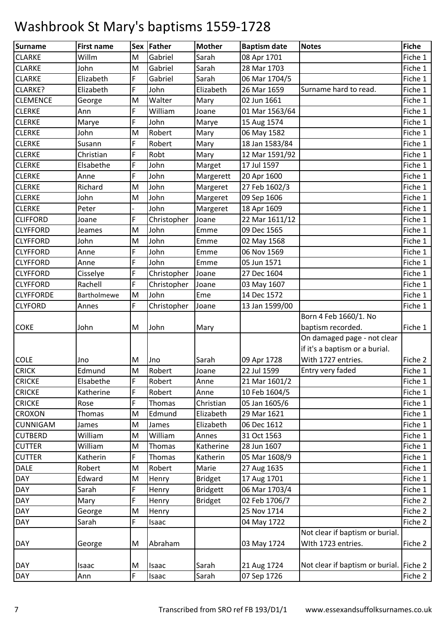| Surname          | <b>First name</b> |   | Sex Father  | <b>Mother</b>   | <b>Baptism date</b> | <b>Notes</b>                            | <b>Fiche</b> |
|------------------|-------------------|---|-------------|-----------------|---------------------|-----------------------------------------|--------------|
| <b>CLARKE</b>    | Willm             | M | Gabriel     | Sarah           | 08 Apr 1701         |                                         | Fiche 1      |
| <b>CLARKE</b>    | John              | M | Gabriel     | Sarah           | 28 Mar 1703         |                                         | Fiche 1      |
| <b>CLARKE</b>    | Elizabeth         | F | Gabriel     | Sarah           | 06 Mar 1704/5       |                                         | Fiche 1      |
| CLARKE?          | Elizabeth         | F | John        | Elizabeth       | 26 Mar 1659         | Surname hard to read.                   | Fiche 1      |
| <b>CLEMENCE</b>  | George            | M | Walter      | Mary            | 02 Jun 1661         |                                         | Fiche 1      |
| <b>CLERKE</b>    | Ann               | F | William     | Joane           | 01 Mar 1563/64      |                                         | Fiche 1      |
| <b>CLERKE</b>    | Marye             | F | John        | Marye           | 15 Aug 1574         |                                         | Fiche 1      |
| <b>CLERKE</b>    | John              | M | Robert      | Mary            | 06 May 1582         |                                         | Fiche 1      |
| <b>CLERKE</b>    | Susann            | F | Robert      | Mary            | 18 Jan 1583/84      |                                         | Fiche 1      |
| <b>CLERKE</b>    | Christian         | F | Robt        | Mary            | 12 Mar 1591/92      |                                         | Fiche 1      |
| <b>CLERKE</b>    | Elsabethe         | F | John        | Marget          | 17 Jul 1597         |                                         | Fiche 1      |
| <b>CLERKE</b>    | Anne              | F | John        | Margerett       | 20 Apr 1600         |                                         | Fiche 1      |
| <b>CLERKE</b>    | Richard           | M | John        | Margeret        | 27 Feb 1602/3       |                                         | Fiche 1      |
| <b>CLERKE</b>    | John              | M | John        | Margeret        | 09 Sep 1606         |                                         | Fiche 1      |
| <b>CLERKE</b>    | Peter             |   | John        | Margeret        | 18 Apr 1609         |                                         | Fiche 1      |
| <b>CLIFFORD</b>  | Joane             | F | Christopher | Joane           | 22 Mar 1611/12      |                                         | Fiche 1      |
| <b>CLYFFORD</b>  | Jeames            | M | John        | Emme            | 09 Dec 1565         |                                         | Fiche 1      |
| <b>CLYFFORD</b>  | John              | M | John        | Emme            | 02 May 1568         |                                         | Fiche 1      |
| <b>CLYFFORD</b>  | Anne              | F | John        | Emme            | 06 Nov 1569         |                                         | Fiche 1      |
| <b>CLYFFORD</b>  | Anne              | F | John        | Emme            | 05 Jun 1571         |                                         | Fiche 1      |
| <b>CLYFFORD</b>  | Cisselye          | F | Christopher | Joane           | 27 Dec 1604         |                                         | Fiche 1      |
| <b>CLYFFORD</b>  | Rachell           | F | Christopher | Joane           | 03 May 1607         |                                         | Fiche 1      |
| <b>CLYFFORDE</b> | Bartholmewe       | M | John        | Eme             | 14 Dec 1572         |                                         | Fiche 1      |
| <b>CLYFORD</b>   | Annes             | F | Christopher | Joane           | 13 Jan 1599/00      |                                         | Fiche 1      |
|                  |                   |   |             |                 |                     | Born 4 Feb 1660/1. No                   |              |
| <b>COKE</b>      | John              | M | John        | Mary            |                     | baptism recorded.                       | Fiche 1      |
|                  |                   |   |             |                 |                     | On damaged page - not clear             |              |
|                  |                   |   |             |                 |                     | if it's a baptism or a burial.          |              |
| <b>COLE</b>      | Jno               | M | Jno         | Sarah           | 09 Apr 1728         | With 1727 entries.                      | Fiche 2      |
| <b>CRICK</b>     | Edmund            | M | Robert      | Joane           | 22 Jul 1599         | Entry very faded                        | Fiche 1      |
| <b>CRICKE</b>    | Elsabethe         | F | Robert      | Anne            | 21 Mar 1601/2       |                                         | Fiche 1      |
| <b>CRICKE</b>    | Katherine         | F | Robert      | Anne            | 10 Feb 1604/5       |                                         | Fiche 1      |
| <b>CRICKE</b>    | Rose              | F | Thomas      | Christian       | 05 Jan 1605/6       |                                         | Fiche 1      |
| <b>CROXON</b>    | Thomas            | M | Edmund      | Elizabeth       | 29 Mar 1621         |                                         | Fiche 1      |
| <b>CUNNIGAM</b>  | James             | M | James       | Elizabeth       | 06 Dec 1612         |                                         | Fiche 1      |
| <b>CUTBERD</b>   | William           | M | William     | Annes           | 31 Oct 1563         |                                         | Fiche 1      |
| <b>CUTTER</b>    | William           | M | Thomas      | Katherine       | 28 Jun 1607         |                                         | Fiche 1      |
| <b>CUTTER</b>    | Katherin          | F | Thomas      | Katherin        | 05 Mar 1608/9       |                                         | Fiche 1      |
| <b>DALE</b>      | Robert            | M | Robert      | Marie           | 27 Aug 1635         |                                         | Fiche 1      |
| <b>DAY</b>       | Edward            | M | Henry       | <b>Bridget</b>  | 17 Aug 1701         |                                         | Fiche 1      |
| <b>DAY</b>       | Sarah             | F | Henry       | <b>Bridgett</b> | 06 Mar 1703/4       |                                         | Fiche 1      |
| <b>DAY</b>       | Mary              | F | Henry       | <b>Bridget</b>  | 02 Feb 1706/7       |                                         | Fiche 2      |
| <b>DAY</b>       | George            | M | Henry       |                 | 25 Nov 1714         |                                         | Fiche 2      |
| <b>DAY</b>       | Sarah             | F | Isaac       |                 | 04 May 1722         |                                         | Fiche 2      |
|                  |                   |   |             |                 |                     | Not clear if baptism or burial.         |              |
| <b>DAY</b>       | George            | M | Abraham     |                 | 03 May 1724         | With 1723 entries.                      | Fiche 2      |
|                  |                   |   |             |                 |                     |                                         |              |
| <b>DAY</b>       | Isaac             | M | Isaac       | Sarah           | 21 Aug 1724         | Not clear if baptism or burial. Fiche 2 |              |
| <b>DAY</b>       | Ann               | F | Isaac       | Sarah           | 07 Sep 1726         |                                         | Fiche 2      |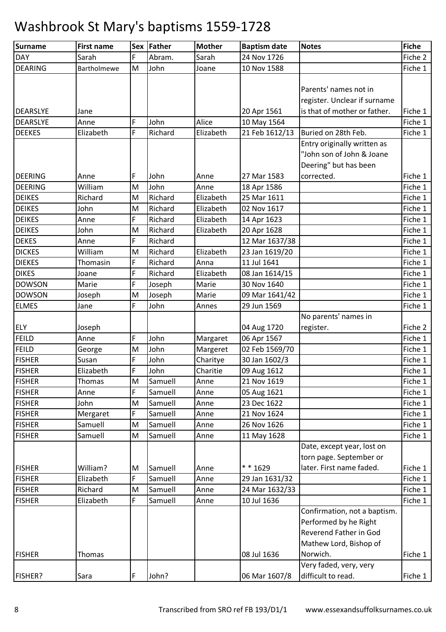| Surname         | <b>First name</b> |   | Sex Father | <b>Mother</b> | <b>Baptism date</b> | <b>Notes</b>                 | Fiche   |
|-----------------|-------------------|---|------------|---------------|---------------------|------------------------------|---------|
| <b>DAY</b>      | Sarah             | F | Abram.     | Sarah         | 24 Nov 1726         |                              | Fiche 2 |
| <b>DEARING</b>  | Bartholmewe       | M | John       | Joane         | 10 Nov 1588         |                              | Fiche 1 |
|                 |                   |   |            |               |                     |                              |         |
|                 |                   |   |            |               |                     | Parents' names not in        |         |
|                 |                   |   |            |               |                     | register. Unclear if surname |         |
| <b>DEARSLYE</b> | Jane              |   |            |               | 20 Apr 1561         | is that of mother or father. | Fiche 1 |
| <b>DEARSLYE</b> | Anne              | F | John       | Alice         | 10 May 1564         |                              | Fiche 1 |
| <b>DEEKES</b>   | Elizabeth         | F | Richard    | Elizabeth     | 21 Feb 1612/13      | Buried on 28th Feb.          | Fiche 1 |
|                 |                   |   |            |               |                     | Entry originally written as  |         |
|                 |                   |   |            |               |                     | "John son of John & Joane    |         |
|                 |                   |   |            |               |                     | Deering" but has been        |         |
| <b>DEERING</b>  | Anne              | F | John       | Anne          | 27 Mar 1583         | corrected.                   | Fiche 1 |
| <b>DEERING</b>  | William           | M | John       | Anne          | 18 Apr 1586         |                              | Fiche 1 |
| <b>DEIKES</b>   | Richard           | M | Richard    | Elizabeth     | 25 Mar 1611         |                              | Fiche 1 |
| <b>DEIKES</b>   | John              | M | Richard    | Elizabeth     | 02 Nov 1617         |                              | Fiche 1 |
| <b>DEIKES</b>   | Anne              | F | Richard    | Elizabeth     | 14 Apr 1623         |                              | Fiche 1 |
| <b>DEIKES</b>   | John              | M | Richard    | Elizabeth     | 20 Apr 1628         |                              | Fiche 1 |
| <b>DEKES</b>    | Anne              | F | Richard    |               | 12 Mar 1637/38      |                              | Fiche 1 |
| <b>DICKES</b>   | William           | M | Richard    | Elizabeth     | 23 Jan 1619/20      |                              | Fiche 1 |
| <b>DIEKES</b>   | Thomasin          | F | Richard    | Anna          | 11 Jul 1641         |                              | Fiche 1 |
| <b>DIKES</b>    | Joane             | F | Richard    | Elizabeth     | 08 Jan 1614/15      |                              | Fiche 1 |
| <b>DOWSON</b>   | Marie             | F | Joseph     | Marie         | 30 Nov 1640         |                              | Fiche 1 |
| <b>DOWSON</b>   | Joseph            | M | Joseph     | Marie         | 09 Mar 1641/42      |                              | Fiche 1 |
| <b>ELMES</b>    | Jane              | F | John       | Annes         | 29 Jun 1569         |                              | Fiche 1 |
|                 |                   |   |            |               |                     | No parents' names in         |         |
| <b>ELY</b>      | Joseph            |   |            |               | 04 Aug 1720         | register.                    | Fiche 2 |
| <b>FEILD</b>    | Anne              | F | John       | Margaret      | 06 Apr 1567         |                              | Fiche 1 |
| <b>FEILD</b>    | George            | M | John       | Margeret      | 02 Feb 1569/70      |                              | Fiche 1 |
| <b>FISHER</b>   | Susan             | F | John       | Charitye      | 30 Jan 1602/3       |                              | Fiche 1 |
| <b>FISHER</b>   | Elizabeth         | F | John       | Charitie      | 09 Aug 1612         |                              | Fiche 1 |
| <b>FISHER</b>   | Thomas            | M | Samuell    | Anne          | 21 Nov 1619         |                              | Fiche 1 |
| <b>FISHER</b>   | Anne              | F | Samuell    | Anne          | 05 Aug 1621         |                              | Fiche 1 |
| <b>FISHER</b>   | John              | M | Samuell    | Anne          | 23 Dec 1622         |                              | Fiche 1 |
| <b>FISHER</b>   | Mergaret          | F | Samuell    | Anne          | 21 Nov 1624         |                              | Fiche 1 |
| <b>FISHER</b>   | Samuell           | M | Samuell    | Anne          | 26 Nov 1626         |                              | Fiche 1 |
| <b>FISHER</b>   | Samuell           | M | Samuell    | Anne          | 11 May 1628         |                              | Fiche 1 |
|                 |                   |   |            |               |                     | Date, except year, lost on   |         |
|                 |                   |   |            |               |                     | torn page. September or      |         |
| <b>FISHER</b>   | William?          | M | Samuell    | Anne          | * * 1629            | later. First name faded.     | Fiche 1 |
| <b>FISHER</b>   | Elizabeth         | F | Samuell    | Anne          | 29 Jan 1631/32      |                              | Fiche 1 |
| <b>FISHER</b>   | Richard           | M | Samuell    | Anne          | 24 Mar 1632/33      |                              | Fiche 1 |
| <b>FISHER</b>   | Elizabeth         | F | Samuell    | Anne          | 10 Jul 1636         |                              | Fiche 1 |
|                 |                   |   |            |               |                     | Confirmation, not a baptism. |         |
|                 |                   |   |            |               |                     | Performed by he Right        |         |
|                 |                   |   |            |               |                     | Reverend Father in God       |         |
|                 |                   |   |            |               |                     | Mathew Lord, Bishop of       |         |
| <b>FISHER</b>   | Thomas            |   |            |               | 08 Jul 1636         | Norwich.                     | Fiche 1 |
|                 |                   |   |            |               |                     | Very faded, very, very       |         |
| FISHER?         | Sara              | F | John?      |               | 06 Mar 1607/8       | difficult to read.           | Fiche 1 |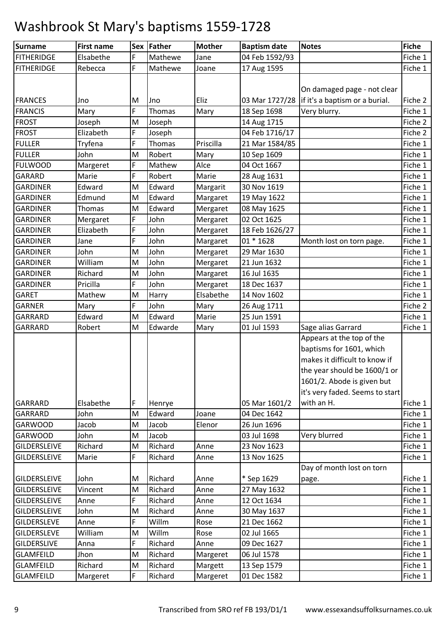| <b>Surname</b>      | <b>First name</b> |   | Sex Father | <b>Mother</b> | <b>Baptism date</b> | <b>Notes</b>                                    | Fiche   |
|---------------------|-------------------|---|------------|---------------|---------------------|-------------------------------------------------|---------|
| <b>FITHERIDGE</b>   | Elsabethe         | F | Mathewe    | Jane          | 04 Feb 1592/93      |                                                 | Fiche 1 |
| <b>FITHERIDGE</b>   | Rebecca           | F | Mathewe    | Joane         | 17 Aug 1595         |                                                 | Fiche 1 |
|                     |                   |   |            |               |                     |                                                 |         |
|                     |                   |   |            |               |                     | On damaged page - not clear                     |         |
| <b>FRANCES</b>      | Jno               | M | Jno        | Eliz          |                     | 03 Mar 1727/28   if it's a baptism or a burial. | Fiche 2 |
| <b>FRANCIS</b>      | Mary              | F | Thomas     | Mary          | 18 Sep 1698         | Very blurry.                                    | Fiche 1 |
| <b>FROST</b>        | Joseph            | M | Joseph     |               | 14 Aug 1715         |                                                 | Fiche 2 |
| <b>FROST</b>        | Elizabeth         | F | Joseph     |               | 04 Feb 1716/17      |                                                 | Fiche 2 |
| <b>FULLER</b>       | Tryfena           | F | Thomas     | Priscilla     | 21 Mar 1584/85      |                                                 | Fiche 1 |
| <b>FULLER</b>       | John              | M | Robert     | Mary          | 10 Sep 1609         |                                                 | Fiche 1 |
| <b>FULWOOD</b>      | Margeret          | F | Mathew     | Alce          | 04 Oct 1667         |                                                 | Fiche 1 |
| GARARD              | Marie             | F | Robert     | Marie         | 28 Aug 1631         |                                                 | Fiche 1 |
| <b>GARDINER</b>     | Edward            | M | Edward     | Margarit      | 30 Nov 1619         |                                                 | Fiche 1 |
| <b>GARDINER</b>     | Edmund            | M | Edward     | Margaret      | 19 May 1622         |                                                 | Fiche 1 |
| <b>GARDINER</b>     | Thomas            | M | Edward     | Mergaret      | 08 May 1625         |                                                 | Fiche 1 |
| <b>GARDINER</b>     | Mergaret          | F | John       | Mergaret      | 02 Oct 1625         |                                                 | Fiche 1 |
| <b>GARDINER</b>     | Elizabeth         | F | John       | Mergaret      | 18 Feb 1626/27      |                                                 | Fiche 1 |
| <b>GARDINER</b>     | Jane              | F | John       | Margaret      | $01 * 1628$         | Month lost on torn page.                        | Fiche 1 |
| <b>GARDINER</b>     | John              | M | John       | Mergaret      | 29 Mar 1630         |                                                 | Fiche 1 |
| <b>GARDINER</b>     | William           | M | John       | Mergaret      | 21 Jun 1632         |                                                 | Fiche 1 |
| <b>GARDINER</b>     | Richard           | M | John       | Margaret      | 16 Jul 1635         |                                                 | Fiche 1 |
| <b>GARDINER</b>     | Pricilla          | F | John       | Mergaret      | 18 Dec 1637         |                                                 | Fiche 1 |
| <b>GARET</b>        | Mathew            | M | Harry      | Elsabethe     | 14 Nov 1602         |                                                 | Fiche 1 |
| <b>GARNER</b>       | Mary              | F | John       | Mary          | 26 Aug 1711         |                                                 | Fiche 2 |
| GARRARD             | Edward            | M | Edward     | Marie         | 25 Jun 1591         |                                                 | Fiche 1 |
| GARRARD             | Robert            | M | Edwarde    | Mary          | 01 Jul 1593         | Sage alias Garrard                              | Fiche 1 |
|                     |                   |   |            |               |                     | Appears at the top of the                       |         |
|                     |                   |   |            |               |                     | baptisms for 1601, which                        |         |
|                     |                   |   |            |               |                     | makes it difficult to know if                   |         |
|                     |                   |   |            |               |                     | the year should be 1600/1 or                    |         |
|                     |                   |   |            |               |                     | 1601/2. Abode is given but                      |         |
|                     |                   |   |            |               |                     | it's very faded. Seems to start                 |         |
| GARRARD             | Elsabethe         | F | Henrye     |               | 05 Mar 1601/2       | with an H.                                      | Fiche 1 |
| GARRARD             | John              | M | Edward     | Joane         | 04 Dec 1642         |                                                 | Fiche 1 |
| <b>GARWOOD</b>      | Jacob             | M | Jacob      | Elenor        | 26 Jun 1696         |                                                 | Fiche 1 |
| <b>GARWOOD</b>      | John              | M | Jacob      |               | 03 Jul 1698         | Very blurred                                    | Fiche 1 |
| <b>GILDERSLEIVE</b> | Richard           | M | Richard    | Anne          | 23 Nov 1623         |                                                 | Fiche 1 |
| <b>GILDERSLEIVE</b> | Marie             | F | Richard    | Anne          | 13 Nov 1625         |                                                 | Fiche 1 |
|                     |                   |   |            |               |                     | Day of month lost on torn                       |         |
| <b>GILDERSLEIVE</b> | John              | M | Richard    | Anne          | * Sep 1629          | page.                                           | Fiche 1 |
| <b>GILDERSLEIVE</b> | Vincent           | M | Richard    | Anne          | 27 May 1632         |                                                 | Fiche 1 |
| <b>GILDERSLEIVE</b> | Anne              | F | Richard    | Anne          | 12 Oct 1634         |                                                 | Fiche 1 |
| <b>GILDERSLEIVE</b> | John              | M | Richard    | Anne          | 30 May 1637         |                                                 | Fiche 1 |
| <b>GILDERSLEVE</b>  | Anne              | F | Willm      | Rose          | 21 Dec 1662         |                                                 | Fiche 1 |
| <b>GILDERSLEVE</b>  | William           | M | Willm      | Rose          | 02 Jul 1665         |                                                 | Fiche 1 |
| <b>GILDERSLIVE</b>  | Anna              | F | Richard    | Anne          | 09 Dec 1627         |                                                 | Fiche 1 |
| <b>GLAMFEILD</b>    | Jhon              | M | Richard    | Margeret      | 06 Jul 1578         |                                                 | Fiche 1 |
| <b>GLAMFEILD</b>    | Richard           | M | Richard    | Margett       | 13 Sep 1579         |                                                 | Fiche 1 |
| <b>GLAMFEILD</b>    | Margeret          | F | Richard    | Margeret      | 01 Dec 1582         |                                                 | Fiche 1 |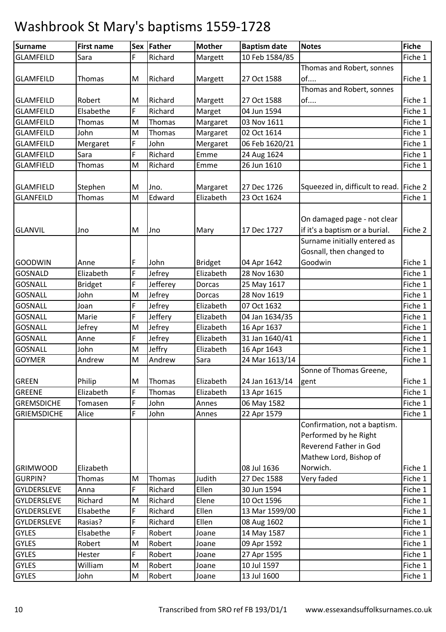| F<br>Richard<br>10 Feb 1584/85<br>Fiche 1<br><b>GLAMFEILD</b><br>Sara<br>Margett<br>Thomas and Robert, sonnes<br>of<br>Richard<br>Fiche 1<br><b>GLAMFEILD</b><br>Thomas<br>M<br>Margett<br>27 Oct 1588<br>Thomas and Robert, sonnes<br>of<br>Fiche 1<br><b>GLAMFEILD</b><br>Robert<br>Richard<br>27 Oct 1588<br>M<br>Margett<br>F<br>Elsabethe<br>Richard<br>Fiche 1<br><b>GLAMFEILD</b><br>Marget<br>04 Jun 1594<br><b>GLAMFEILD</b><br>M<br>Margaret<br>Fiche 1<br>Thomas<br>Thomas<br>03 Nov 1611<br>Fiche 1<br><b>GLAMFEILD</b><br>John<br>M<br>Thomas<br>Margaret<br>02 Oct 1614<br>F<br><b>GLAMFEILD</b><br>Mergaret<br>John<br>Mergaret<br>06 Feb 1620/21<br>Fiche 1<br>F<br>Richard<br>Fiche 1<br><b>GLAMFEILD</b><br>24 Aug 1624<br>Sara<br>Emme<br>Richard<br>26 Jun 1610<br><b>GLAMFIELD</b><br><b>Thomas</b><br>M<br>Fiche 1<br>Emme<br>Squeezed in, difficult to read. Fiche 2<br>27 Dec 1726<br><b>GLAMFIELD</b><br>Stephen<br>M<br>Jno.<br>Margaret<br>Edward<br>Fiche 1<br><b>GLANFEILD</b><br>Thomas<br>M<br>Elizabeth<br>23 Oct 1624<br>On damaged page - not clear<br>if it's a baptism or a burial.<br>17 Dec 1727<br>Fiche 2<br><b>GLANVIL</b><br>M<br>Jno<br>Mary<br>Jno<br>Surname initially entered as<br>Gosnall, then changed to<br>Goodwin<br>F<br>04 Apr 1642<br>Fiche 1<br><b>GOODWIN</b><br>John<br><b>Bridget</b><br>Anne<br>F<br><b>GOSNALD</b><br>Elizabeth<br>Jefrey<br>Elizabeth<br>28 Nov 1630<br>Fiche 1<br>F.<br><b>GOSNALL</b><br>Jefferey<br>Fiche 1<br><b>Bridget</b><br>Dorcas<br>25 May 1617<br><b>GOSNALL</b><br>John<br>Jefrey<br>28 Nov 1619<br>M<br>Fiche 1<br>Dorcas<br>F<br>Jefrey<br><b>GOSNALL</b><br>Elizabeth<br>07 Oct 1632<br>Fiche 1<br>Joan<br>F<br><b>GOSNALL</b><br>Jeffery<br>Fiche 1<br>Elizabeth<br>04 Jan 1634/35<br>Marie<br><b>GOSNALL</b><br>Jefrey<br>16 Apr 1637<br>Fiche 1<br>M<br>Elizabeth<br>Jefrey<br>F.<br><b>GOSNALL</b><br>31 Jan 1640/41<br>Jefrey<br>Elizabeth<br>Fiche 1<br>Anne<br>Jeffry<br>Fiche 1<br><b>GOSNALL</b><br>John<br>M<br>Elizabeth<br>16 Apr 1643<br>Andrew<br><b>GOYMER</b><br>Andrew<br>M<br>24 Mar 1613/14<br>Fiche 1<br>Sara<br>Sonne of Thomas Greene,<br>Elizabeth<br>Fiche 1<br><b>GREEN</b><br>Philip<br>M<br>24 Jan 1613/14<br>Thomas<br>gent<br>F<br><b>GREENE</b><br>Elizabeth<br>Elizabeth<br>Fiche 1<br>Thomas<br>13 Apr 1615<br>F<br><b>GREMSDICHE</b><br>John<br>Fiche 1<br>Tomasen<br>Annes<br>06 May 1582<br>F<br><b>GRIEMSDICHE</b><br>John<br>22 Apr 1579<br>Fiche 1<br>Alice<br>Annes<br>Confirmation, not a baptism.<br>Performed by he Right<br>Reverend Father in God<br>Mathew Lord, Bishop of<br>Norwich.<br>Elizabeth<br><b>GRIMWOOD</b><br>08 Jul 1636<br>Fiche 1<br>Judith<br><b>GURPIN?</b><br><b>Thomas</b><br>Thomas<br>27 Dec 1588<br>Very faded<br>Fiche 1<br>M<br>F<br>Richard<br><b>GYLDERSLEVE</b><br>Ellen<br>30 Jun 1594<br>Fiche 1<br>Anna<br>Richard<br>Richard<br>Fiche 1<br>GYLDERSLEVE<br>M<br>Elene<br>10 Oct 1596<br>F<br>Elsabethe<br>Richard<br>Ellen<br>Fiche 1<br><b>GYLDERSLEVE</b><br>13 Mar 1599/00<br>F<br><b>GYLDERSLEVE</b><br>Rasias?<br>Richard<br>Ellen<br>Fiche 1<br>08 Aug 1602<br>F<br><b>GYLES</b><br>Elsabethe<br>Robert<br>14 May 1587<br>Fiche 1<br>Joane<br><b>GYLES</b><br>Robert<br>09 Apr 1592<br>Fiche 1<br>Robert<br>M<br>Joane<br>F.<br><b>GYLES</b><br>Fiche 1<br>Hester<br>Robert<br>27 Apr 1595<br>Joane<br><b>GYLES</b><br>William<br>M<br>Robert<br>10 Jul 1597<br>Fiche 1<br>Joane<br><b>GYLES</b><br>Robert<br>13 Jul 1600<br>Fiche 1<br>John<br>M<br>Joane | <b>Surname</b> | <b>First name</b> | Sex Father | <b>Mother</b> | <b>Baptism date</b> | <b>Notes</b> | <b>Fiche</b> |
|------------------------------------------------------------------------------------------------------------------------------------------------------------------------------------------------------------------------------------------------------------------------------------------------------------------------------------------------------------------------------------------------------------------------------------------------------------------------------------------------------------------------------------------------------------------------------------------------------------------------------------------------------------------------------------------------------------------------------------------------------------------------------------------------------------------------------------------------------------------------------------------------------------------------------------------------------------------------------------------------------------------------------------------------------------------------------------------------------------------------------------------------------------------------------------------------------------------------------------------------------------------------------------------------------------------------------------------------------------------------------------------------------------------------------------------------------------------------------------------------------------------------------------------------------------------------------------------------------------------------------------------------------------------------------------------------------------------------------------------------------------------------------------------------------------------------------------------------------------------------------------------------------------------------------------------------------------------------------------------------------------------------------------------------------------------------------------------------------------------------------------------------------------------------------------------------------------------------------------------------------------------------------------------------------------------------------------------------------------------------------------------------------------------------------------------------------------------------------------------------------------------------------------------------------------------------------------------------------------------------------------------------------------------------------------------------------------------------------------------------------------------------------------------------------------------------------------------------------------------------------------------------------------------------------------------------------------------------------------------------------------------------------------------------------------------------------------------------------------------------------------------------------------------------------------------------------------------------------------------------------------------------------------------------------------------------------------------------------------------------------------------------------------------------------------------------------------------------------------------------------------------------------------------|----------------|-------------------|------------|---------------|---------------------|--------------|--------------|
|                                                                                                                                                                                                                                                                                                                                                                                                                                                                                                                                                                                                                                                                                                                                                                                                                                                                                                                                                                                                                                                                                                                                                                                                                                                                                                                                                                                                                                                                                                                                                                                                                                                                                                                                                                                                                                                                                                                                                                                                                                                                                                                                                                                                                                                                                                                                                                                                                                                                                                                                                                                                                                                                                                                                                                                                                                                                                                                                                                                                                                                                                                                                                                                                                                                                                                                                                                                                                                                                                                                                          |                |                   |            |               |                     |              |              |
|                                                                                                                                                                                                                                                                                                                                                                                                                                                                                                                                                                                                                                                                                                                                                                                                                                                                                                                                                                                                                                                                                                                                                                                                                                                                                                                                                                                                                                                                                                                                                                                                                                                                                                                                                                                                                                                                                                                                                                                                                                                                                                                                                                                                                                                                                                                                                                                                                                                                                                                                                                                                                                                                                                                                                                                                                                                                                                                                                                                                                                                                                                                                                                                                                                                                                                                                                                                                                                                                                                                                          |                |                   |            |               |                     |              |              |
|                                                                                                                                                                                                                                                                                                                                                                                                                                                                                                                                                                                                                                                                                                                                                                                                                                                                                                                                                                                                                                                                                                                                                                                                                                                                                                                                                                                                                                                                                                                                                                                                                                                                                                                                                                                                                                                                                                                                                                                                                                                                                                                                                                                                                                                                                                                                                                                                                                                                                                                                                                                                                                                                                                                                                                                                                                                                                                                                                                                                                                                                                                                                                                                                                                                                                                                                                                                                                                                                                                                                          |                |                   |            |               |                     |              |              |
|                                                                                                                                                                                                                                                                                                                                                                                                                                                                                                                                                                                                                                                                                                                                                                                                                                                                                                                                                                                                                                                                                                                                                                                                                                                                                                                                                                                                                                                                                                                                                                                                                                                                                                                                                                                                                                                                                                                                                                                                                                                                                                                                                                                                                                                                                                                                                                                                                                                                                                                                                                                                                                                                                                                                                                                                                                                                                                                                                                                                                                                                                                                                                                                                                                                                                                                                                                                                                                                                                                                                          |                |                   |            |               |                     |              |              |
|                                                                                                                                                                                                                                                                                                                                                                                                                                                                                                                                                                                                                                                                                                                                                                                                                                                                                                                                                                                                                                                                                                                                                                                                                                                                                                                                                                                                                                                                                                                                                                                                                                                                                                                                                                                                                                                                                                                                                                                                                                                                                                                                                                                                                                                                                                                                                                                                                                                                                                                                                                                                                                                                                                                                                                                                                                                                                                                                                                                                                                                                                                                                                                                                                                                                                                                                                                                                                                                                                                                                          |                |                   |            |               |                     |              |              |
|                                                                                                                                                                                                                                                                                                                                                                                                                                                                                                                                                                                                                                                                                                                                                                                                                                                                                                                                                                                                                                                                                                                                                                                                                                                                                                                                                                                                                                                                                                                                                                                                                                                                                                                                                                                                                                                                                                                                                                                                                                                                                                                                                                                                                                                                                                                                                                                                                                                                                                                                                                                                                                                                                                                                                                                                                                                                                                                                                                                                                                                                                                                                                                                                                                                                                                                                                                                                                                                                                                                                          |                |                   |            |               |                     |              |              |
|                                                                                                                                                                                                                                                                                                                                                                                                                                                                                                                                                                                                                                                                                                                                                                                                                                                                                                                                                                                                                                                                                                                                                                                                                                                                                                                                                                                                                                                                                                                                                                                                                                                                                                                                                                                                                                                                                                                                                                                                                                                                                                                                                                                                                                                                                                                                                                                                                                                                                                                                                                                                                                                                                                                                                                                                                                                                                                                                                                                                                                                                                                                                                                                                                                                                                                                                                                                                                                                                                                                                          |                |                   |            |               |                     |              |              |
|                                                                                                                                                                                                                                                                                                                                                                                                                                                                                                                                                                                                                                                                                                                                                                                                                                                                                                                                                                                                                                                                                                                                                                                                                                                                                                                                                                                                                                                                                                                                                                                                                                                                                                                                                                                                                                                                                                                                                                                                                                                                                                                                                                                                                                                                                                                                                                                                                                                                                                                                                                                                                                                                                                                                                                                                                                                                                                                                                                                                                                                                                                                                                                                                                                                                                                                                                                                                                                                                                                                                          |                |                   |            |               |                     |              |              |
|                                                                                                                                                                                                                                                                                                                                                                                                                                                                                                                                                                                                                                                                                                                                                                                                                                                                                                                                                                                                                                                                                                                                                                                                                                                                                                                                                                                                                                                                                                                                                                                                                                                                                                                                                                                                                                                                                                                                                                                                                                                                                                                                                                                                                                                                                                                                                                                                                                                                                                                                                                                                                                                                                                                                                                                                                                                                                                                                                                                                                                                                                                                                                                                                                                                                                                                                                                                                                                                                                                                                          |                |                   |            |               |                     |              |              |
|                                                                                                                                                                                                                                                                                                                                                                                                                                                                                                                                                                                                                                                                                                                                                                                                                                                                                                                                                                                                                                                                                                                                                                                                                                                                                                                                                                                                                                                                                                                                                                                                                                                                                                                                                                                                                                                                                                                                                                                                                                                                                                                                                                                                                                                                                                                                                                                                                                                                                                                                                                                                                                                                                                                                                                                                                                                                                                                                                                                                                                                                                                                                                                                                                                                                                                                                                                                                                                                                                                                                          |                |                   |            |               |                     |              |              |
|                                                                                                                                                                                                                                                                                                                                                                                                                                                                                                                                                                                                                                                                                                                                                                                                                                                                                                                                                                                                                                                                                                                                                                                                                                                                                                                                                                                                                                                                                                                                                                                                                                                                                                                                                                                                                                                                                                                                                                                                                                                                                                                                                                                                                                                                                                                                                                                                                                                                                                                                                                                                                                                                                                                                                                                                                                                                                                                                                                                                                                                                                                                                                                                                                                                                                                                                                                                                                                                                                                                                          |                |                   |            |               |                     |              |              |
|                                                                                                                                                                                                                                                                                                                                                                                                                                                                                                                                                                                                                                                                                                                                                                                                                                                                                                                                                                                                                                                                                                                                                                                                                                                                                                                                                                                                                                                                                                                                                                                                                                                                                                                                                                                                                                                                                                                                                                                                                                                                                                                                                                                                                                                                                                                                                                                                                                                                                                                                                                                                                                                                                                                                                                                                                                                                                                                                                                                                                                                                                                                                                                                                                                                                                                                                                                                                                                                                                                                                          |                |                   |            |               |                     |              |              |
|                                                                                                                                                                                                                                                                                                                                                                                                                                                                                                                                                                                                                                                                                                                                                                                                                                                                                                                                                                                                                                                                                                                                                                                                                                                                                                                                                                                                                                                                                                                                                                                                                                                                                                                                                                                                                                                                                                                                                                                                                                                                                                                                                                                                                                                                                                                                                                                                                                                                                                                                                                                                                                                                                                                                                                                                                                                                                                                                                                                                                                                                                                                                                                                                                                                                                                                                                                                                                                                                                                                                          |                |                   |            |               |                     |              |              |
|                                                                                                                                                                                                                                                                                                                                                                                                                                                                                                                                                                                                                                                                                                                                                                                                                                                                                                                                                                                                                                                                                                                                                                                                                                                                                                                                                                                                                                                                                                                                                                                                                                                                                                                                                                                                                                                                                                                                                                                                                                                                                                                                                                                                                                                                                                                                                                                                                                                                                                                                                                                                                                                                                                                                                                                                                                                                                                                                                                                                                                                                                                                                                                                                                                                                                                                                                                                                                                                                                                                                          |                |                   |            |               |                     |              |              |
|                                                                                                                                                                                                                                                                                                                                                                                                                                                                                                                                                                                                                                                                                                                                                                                                                                                                                                                                                                                                                                                                                                                                                                                                                                                                                                                                                                                                                                                                                                                                                                                                                                                                                                                                                                                                                                                                                                                                                                                                                                                                                                                                                                                                                                                                                                                                                                                                                                                                                                                                                                                                                                                                                                                                                                                                                                                                                                                                                                                                                                                                                                                                                                                                                                                                                                                                                                                                                                                                                                                                          |                |                   |            |               |                     |              |              |
|                                                                                                                                                                                                                                                                                                                                                                                                                                                                                                                                                                                                                                                                                                                                                                                                                                                                                                                                                                                                                                                                                                                                                                                                                                                                                                                                                                                                                                                                                                                                                                                                                                                                                                                                                                                                                                                                                                                                                                                                                                                                                                                                                                                                                                                                                                                                                                                                                                                                                                                                                                                                                                                                                                                                                                                                                                                                                                                                                                                                                                                                                                                                                                                                                                                                                                                                                                                                                                                                                                                                          |                |                   |            |               |                     |              |              |
|                                                                                                                                                                                                                                                                                                                                                                                                                                                                                                                                                                                                                                                                                                                                                                                                                                                                                                                                                                                                                                                                                                                                                                                                                                                                                                                                                                                                                                                                                                                                                                                                                                                                                                                                                                                                                                                                                                                                                                                                                                                                                                                                                                                                                                                                                                                                                                                                                                                                                                                                                                                                                                                                                                                                                                                                                                                                                                                                                                                                                                                                                                                                                                                                                                                                                                                                                                                                                                                                                                                                          |                |                   |            |               |                     |              |              |
|                                                                                                                                                                                                                                                                                                                                                                                                                                                                                                                                                                                                                                                                                                                                                                                                                                                                                                                                                                                                                                                                                                                                                                                                                                                                                                                                                                                                                                                                                                                                                                                                                                                                                                                                                                                                                                                                                                                                                                                                                                                                                                                                                                                                                                                                                                                                                                                                                                                                                                                                                                                                                                                                                                                                                                                                                                                                                                                                                                                                                                                                                                                                                                                                                                                                                                                                                                                                                                                                                                                                          |                |                   |            |               |                     |              |              |
|                                                                                                                                                                                                                                                                                                                                                                                                                                                                                                                                                                                                                                                                                                                                                                                                                                                                                                                                                                                                                                                                                                                                                                                                                                                                                                                                                                                                                                                                                                                                                                                                                                                                                                                                                                                                                                                                                                                                                                                                                                                                                                                                                                                                                                                                                                                                                                                                                                                                                                                                                                                                                                                                                                                                                                                                                                                                                                                                                                                                                                                                                                                                                                                                                                                                                                                                                                                                                                                                                                                                          |                |                   |            |               |                     |              |              |
|                                                                                                                                                                                                                                                                                                                                                                                                                                                                                                                                                                                                                                                                                                                                                                                                                                                                                                                                                                                                                                                                                                                                                                                                                                                                                                                                                                                                                                                                                                                                                                                                                                                                                                                                                                                                                                                                                                                                                                                                                                                                                                                                                                                                                                                                                                                                                                                                                                                                                                                                                                                                                                                                                                                                                                                                                                                                                                                                                                                                                                                                                                                                                                                                                                                                                                                                                                                                                                                                                                                                          |                |                   |            |               |                     |              |              |
|                                                                                                                                                                                                                                                                                                                                                                                                                                                                                                                                                                                                                                                                                                                                                                                                                                                                                                                                                                                                                                                                                                                                                                                                                                                                                                                                                                                                                                                                                                                                                                                                                                                                                                                                                                                                                                                                                                                                                                                                                                                                                                                                                                                                                                                                                                                                                                                                                                                                                                                                                                                                                                                                                                                                                                                                                                                                                                                                                                                                                                                                                                                                                                                                                                                                                                                                                                                                                                                                                                                                          |                |                   |            |               |                     |              |              |
|                                                                                                                                                                                                                                                                                                                                                                                                                                                                                                                                                                                                                                                                                                                                                                                                                                                                                                                                                                                                                                                                                                                                                                                                                                                                                                                                                                                                                                                                                                                                                                                                                                                                                                                                                                                                                                                                                                                                                                                                                                                                                                                                                                                                                                                                                                                                                                                                                                                                                                                                                                                                                                                                                                                                                                                                                                                                                                                                                                                                                                                                                                                                                                                                                                                                                                                                                                                                                                                                                                                                          |                |                   |            |               |                     |              |              |
|                                                                                                                                                                                                                                                                                                                                                                                                                                                                                                                                                                                                                                                                                                                                                                                                                                                                                                                                                                                                                                                                                                                                                                                                                                                                                                                                                                                                                                                                                                                                                                                                                                                                                                                                                                                                                                                                                                                                                                                                                                                                                                                                                                                                                                                                                                                                                                                                                                                                                                                                                                                                                                                                                                                                                                                                                                                                                                                                                                                                                                                                                                                                                                                                                                                                                                                                                                                                                                                                                                                                          |                |                   |            |               |                     |              |              |
|                                                                                                                                                                                                                                                                                                                                                                                                                                                                                                                                                                                                                                                                                                                                                                                                                                                                                                                                                                                                                                                                                                                                                                                                                                                                                                                                                                                                                                                                                                                                                                                                                                                                                                                                                                                                                                                                                                                                                                                                                                                                                                                                                                                                                                                                                                                                                                                                                                                                                                                                                                                                                                                                                                                                                                                                                                                                                                                                                                                                                                                                                                                                                                                                                                                                                                                                                                                                                                                                                                                                          |                |                   |            |               |                     |              |              |
|                                                                                                                                                                                                                                                                                                                                                                                                                                                                                                                                                                                                                                                                                                                                                                                                                                                                                                                                                                                                                                                                                                                                                                                                                                                                                                                                                                                                                                                                                                                                                                                                                                                                                                                                                                                                                                                                                                                                                                                                                                                                                                                                                                                                                                                                                                                                                                                                                                                                                                                                                                                                                                                                                                                                                                                                                                                                                                                                                                                                                                                                                                                                                                                                                                                                                                                                                                                                                                                                                                                                          |                |                   |            |               |                     |              |              |
|                                                                                                                                                                                                                                                                                                                                                                                                                                                                                                                                                                                                                                                                                                                                                                                                                                                                                                                                                                                                                                                                                                                                                                                                                                                                                                                                                                                                                                                                                                                                                                                                                                                                                                                                                                                                                                                                                                                                                                                                                                                                                                                                                                                                                                                                                                                                                                                                                                                                                                                                                                                                                                                                                                                                                                                                                                                                                                                                                                                                                                                                                                                                                                                                                                                                                                                                                                                                                                                                                                                                          |                |                   |            |               |                     |              |              |
|                                                                                                                                                                                                                                                                                                                                                                                                                                                                                                                                                                                                                                                                                                                                                                                                                                                                                                                                                                                                                                                                                                                                                                                                                                                                                                                                                                                                                                                                                                                                                                                                                                                                                                                                                                                                                                                                                                                                                                                                                                                                                                                                                                                                                                                                                                                                                                                                                                                                                                                                                                                                                                                                                                                                                                                                                                                                                                                                                                                                                                                                                                                                                                                                                                                                                                                                                                                                                                                                                                                                          |                |                   |            |               |                     |              |              |
|                                                                                                                                                                                                                                                                                                                                                                                                                                                                                                                                                                                                                                                                                                                                                                                                                                                                                                                                                                                                                                                                                                                                                                                                                                                                                                                                                                                                                                                                                                                                                                                                                                                                                                                                                                                                                                                                                                                                                                                                                                                                                                                                                                                                                                                                                                                                                                                                                                                                                                                                                                                                                                                                                                                                                                                                                                                                                                                                                                                                                                                                                                                                                                                                                                                                                                                                                                                                                                                                                                                                          |                |                   |            |               |                     |              |              |
|                                                                                                                                                                                                                                                                                                                                                                                                                                                                                                                                                                                                                                                                                                                                                                                                                                                                                                                                                                                                                                                                                                                                                                                                                                                                                                                                                                                                                                                                                                                                                                                                                                                                                                                                                                                                                                                                                                                                                                                                                                                                                                                                                                                                                                                                                                                                                                                                                                                                                                                                                                                                                                                                                                                                                                                                                                                                                                                                                                                                                                                                                                                                                                                                                                                                                                                                                                                                                                                                                                                                          |                |                   |            |               |                     |              |              |
|                                                                                                                                                                                                                                                                                                                                                                                                                                                                                                                                                                                                                                                                                                                                                                                                                                                                                                                                                                                                                                                                                                                                                                                                                                                                                                                                                                                                                                                                                                                                                                                                                                                                                                                                                                                                                                                                                                                                                                                                                                                                                                                                                                                                                                                                                                                                                                                                                                                                                                                                                                                                                                                                                                                                                                                                                                                                                                                                                                                                                                                                                                                                                                                                                                                                                                                                                                                                                                                                                                                                          |                |                   |            |               |                     |              |              |
|                                                                                                                                                                                                                                                                                                                                                                                                                                                                                                                                                                                                                                                                                                                                                                                                                                                                                                                                                                                                                                                                                                                                                                                                                                                                                                                                                                                                                                                                                                                                                                                                                                                                                                                                                                                                                                                                                                                                                                                                                                                                                                                                                                                                                                                                                                                                                                                                                                                                                                                                                                                                                                                                                                                                                                                                                                                                                                                                                                                                                                                                                                                                                                                                                                                                                                                                                                                                                                                                                                                                          |                |                   |            |               |                     |              |              |
|                                                                                                                                                                                                                                                                                                                                                                                                                                                                                                                                                                                                                                                                                                                                                                                                                                                                                                                                                                                                                                                                                                                                                                                                                                                                                                                                                                                                                                                                                                                                                                                                                                                                                                                                                                                                                                                                                                                                                                                                                                                                                                                                                                                                                                                                                                                                                                                                                                                                                                                                                                                                                                                                                                                                                                                                                                                                                                                                                                                                                                                                                                                                                                                                                                                                                                                                                                                                                                                                                                                                          |                |                   |            |               |                     |              |              |
|                                                                                                                                                                                                                                                                                                                                                                                                                                                                                                                                                                                                                                                                                                                                                                                                                                                                                                                                                                                                                                                                                                                                                                                                                                                                                                                                                                                                                                                                                                                                                                                                                                                                                                                                                                                                                                                                                                                                                                                                                                                                                                                                                                                                                                                                                                                                                                                                                                                                                                                                                                                                                                                                                                                                                                                                                                                                                                                                                                                                                                                                                                                                                                                                                                                                                                                                                                                                                                                                                                                                          |                |                   |            |               |                     |              |              |
|                                                                                                                                                                                                                                                                                                                                                                                                                                                                                                                                                                                                                                                                                                                                                                                                                                                                                                                                                                                                                                                                                                                                                                                                                                                                                                                                                                                                                                                                                                                                                                                                                                                                                                                                                                                                                                                                                                                                                                                                                                                                                                                                                                                                                                                                                                                                                                                                                                                                                                                                                                                                                                                                                                                                                                                                                                                                                                                                                                                                                                                                                                                                                                                                                                                                                                                                                                                                                                                                                                                                          |                |                   |            |               |                     |              |              |
|                                                                                                                                                                                                                                                                                                                                                                                                                                                                                                                                                                                                                                                                                                                                                                                                                                                                                                                                                                                                                                                                                                                                                                                                                                                                                                                                                                                                                                                                                                                                                                                                                                                                                                                                                                                                                                                                                                                                                                                                                                                                                                                                                                                                                                                                                                                                                                                                                                                                                                                                                                                                                                                                                                                                                                                                                                                                                                                                                                                                                                                                                                                                                                                                                                                                                                                                                                                                                                                                                                                                          |                |                   |            |               |                     |              |              |
|                                                                                                                                                                                                                                                                                                                                                                                                                                                                                                                                                                                                                                                                                                                                                                                                                                                                                                                                                                                                                                                                                                                                                                                                                                                                                                                                                                                                                                                                                                                                                                                                                                                                                                                                                                                                                                                                                                                                                                                                                                                                                                                                                                                                                                                                                                                                                                                                                                                                                                                                                                                                                                                                                                                                                                                                                                                                                                                                                                                                                                                                                                                                                                                                                                                                                                                                                                                                                                                                                                                                          |                |                   |            |               |                     |              |              |
|                                                                                                                                                                                                                                                                                                                                                                                                                                                                                                                                                                                                                                                                                                                                                                                                                                                                                                                                                                                                                                                                                                                                                                                                                                                                                                                                                                                                                                                                                                                                                                                                                                                                                                                                                                                                                                                                                                                                                                                                                                                                                                                                                                                                                                                                                                                                                                                                                                                                                                                                                                                                                                                                                                                                                                                                                                                                                                                                                                                                                                                                                                                                                                                                                                                                                                                                                                                                                                                                                                                                          |                |                   |            |               |                     |              |              |
|                                                                                                                                                                                                                                                                                                                                                                                                                                                                                                                                                                                                                                                                                                                                                                                                                                                                                                                                                                                                                                                                                                                                                                                                                                                                                                                                                                                                                                                                                                                                                                                                                                                                                                                                                                                                                                                                                                                                                                                                                                                                                                                                                                                                                                                                                                                                                                                                                                                                                                                                                                                                                                                                                                                                                                                                                                                                                                                                                                                                                                                                                                                                                                                                                                                                                                                                                                                                                                                                                                                                          |                |                   |            |               |                     |              |              |
|                                                                                                                                                                                                                                                                                                                                                                                                                                                                                                                                                                                                                                                                                                                                                                                                                                                                                                                                                                                                                                                                                                                                                                                                                                                                                                                                                                                                                                                                                                                                                                                                                                                                                                                                                                                                                                                                                                                                                                                                                                                                                                                                                                                                                                                                                                                                                                                                                                                                                                                                                                                                                                                                                                                                                                                                                                                                                                                                                                                                                                                                                                                                                                                                                                                                                                                                                                                                                                                                                                                                          |                |                   |            |               |                     |              |              |
|                                                                                                                                                                                                                                                                                                                                                                                                                                                                                                                                                                                                                                                                                                                                                                                                                                                                                                                                                                                                                                                                                                                                                                                                                                                                                                                                                                                                                                                                                                                                                                                                                                                                                                                                                                                                                                                                                                                                                                                                                                                                                                                                                                                                                                                                                                                                                                                                                                                                                                                                                                                                                                                                                                                                                                                                                                                                                                                                                                                                                                                                                                                                                                                                                                                                                                                                                                                                                                                                                                                                          |                |                   |            |               |                     |              |              |
|                                                                                                                                                                                                                                                                                                                                                                                                                                                                                                                                                                                                                                                                                                                                                                                                                                                                                                                                                                                                                                                                                                                                                                                                                                                                                                                                                                                                                                                                                                                                                                                                                                                                                                                                                                                                                                                                                                                                                                                                                                                                                                                                                                                                                                                                                                                                                                                                                                                                                                                                                                                                                                                                                                                                                                                                                                                                                                                                                                                                                                                                                                                                                                                                                                                                                                                                                                                                                                                                                                                                          |                |                   |            |               |                     |              |              |
|                                                                                                                                                                                                                                                                                                                                                                                                                                                                                                                                                                                                                                                                                                                                                                                                                                                                                                                                                                                                                                                                                                                                                                                                                                                                                                                                                                                                                                                                                                                                                                                                                                                                                                                                                                                                                                                                                                                                                                                                                                                                                                                                                                                                                                                                                                                                                                                                                                                                                                                                                                                                                                                                                                                                                                                                                                                                                                                                                                                                                                                                                                                                                                                                                                                                                                                                                                                                                                                                                                                                          |                |                   |            |               |                     |              |              |
|                                                                                                                                                                                                                                                                                                                                                                                                                                                                                                                                                                                                                                                                                                                                                                                                                                                                                                                                                                                                                                                                                                                                                                                                                                                                                                                                                                                                                                                                                                                                                                                                                                                                                                                                                                                                                                                                                                                                                                                                                                                                                                                                                                                                                                                                                                                                                                                                                                                                                                                                                                                                                                                                                                                                                                                                                                                                                                                                                                                                                                                                                                                                                                                                                                                                                                                                                                                                                                                                                                                                          |                |                   |            |               |                     |              |              |
|                                                                                                                                                                                                                                                                                                                                                                                                                                                                                                                                                                                                                                                                                                                                                                                                                                                                                                                                                                                                                                                                                                                                                                                                                                                                                                                                                                                                                                                                                                                                                                                                                                                                                                                                                                                                                                                                                                                                                                                                                                                                                                                                                                                                                                                                                                                                                                                                                                                                                                                                                                                                                                                                                                                                                                                                                                                                                                                                                                                                                                                                                                                                                                                                                                                                                                                                                                                                                                                                                                                                          |                |                   |            |               |                     |              |              |
|                                                                                                                                                                                                                                                                                                                                                                                                                                                                                                                                                                                                                                                                                                                                                                                                                                                                                                                                                                                                                                                                                                                                                                                                                                                                                                                                                                                                                                                                                                                                                                                                                                                                                                                                                                                                                                                                                                                                                                                                                                                                                                                                                                                                                                                                                                                                                                                                                                                                                                                                                                                                                                                                                                                                                                                                                                                                                                                                                                                                                                                                                                                                                                                                                                                                                                                                                                                                                                                                                                                                          |                |                   |            |               |                     |              |              |
|                                                                                                                                                                                                                                                                                                                                                                                                                                                                                                                                                                                                                                                                                                                                                                                                                                                                                                                                                                                                                                                                                                                                                                                                                                                                                                                                                                                                                                                                                                                                                                                                                                                                                                                                                                                                                                                                                                                                                                                                                                                                                                                                                                                                                                                                                                                                                                                                                                                                                                                                                                                                                                                                                                                                                                                                                                                                                                                                                                                                                                                                                                                                                                                                                                                                                                                                                                                                                                                                                                                                          |                |                   |            |               |                     |              |              |
|                                                                                                                                                                                                                                                                                                                                                                                                                                                                                                                                                                                                                                                                                                                                                                                                                                                                                                                                                                                                                                                                                                                                                                                                                                                                                                                                                                                                                                                                                                                                                                                                                                                                                                                                                                                                                                                                                                                                                                                                                                                                                                                                                                                                                                                                                                                                                                                                                                                                                                                                                                                                                                                                                                                                                                                                                                                                                                                                                                                                                                                                                                                                                                                                                                                                                                                                                                                                                                                                                                                                          |                |                   |            |               |                     |              |              |
|                                                                                                                                                                                                                                                                                                                                                                                                                                                                                                                                                                                                                                                                                                                                                                                                                                                                                                                                                                                                                                                                                                                                                                                                                                                                                                                                                                                                                                                                                                                                                                                                                                                                                                                                                                                                                                                                                                                                                                                                                                                                                                                                                                                                                                                                                                                                                                                                                                                                                                                                                                                                                                                                                                                                                                                                                                                                                                                                                                                                                                                                                                                                                                                                                                                                                                                                                                                                                                                                                                                                          |                |                   |            |               |                     |              |              |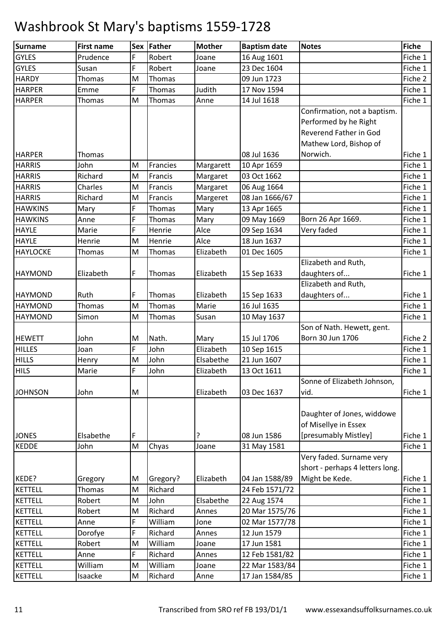| <b>Surname</b>  | <b>First name</b> |   | Sex Father | <b>Mother</b> | <b>Baptism date</b> | <b>Notes</b>                    | <b>Fiche</b> |
|-----------------|-------------------|---|------------|---------------|---------------------|---------------------------------|--------------|
| <b>GYLES</b>    | Prudence          | F | Robert     | Joane         | 16 Aug 1601         |                                 | Fiche 1      |
| <b>GYLES</b>    | Susan             | F | Robert     | Joane         | 23 Dec 1604         |                                 | Fiche 1      |
| <b>HARDY</b>    | Thomas            | M | Thomas     |               | 09 Jun 1723         |                                 | Fiche 2      |
| <b>HARPER</b>   | Emme              | F | Thomas     | Judith        | 17 Nov 1594         |                                 | Fiche 1      |
| <b>HARPER</b>   | Thomas            | M | Thomas     | Anne          | 14 Jul 1618         |                                 | Fiche 1      |
|                 |                   |   |            |               |                     | Confirmation, not a baptism.    |              |
|                 |                   |   |            |               |                     | Performed by he Right           |              |
|                 |                   |   |            |               |                     | Reverend Father in God          |              |
|                 |                   |   |            |               |                     | Mathew Lord, Bishop of          |              |
| <b>HARPER</b>   | Thomas            |   |            |               | 08 Jul 1636         | Norwich.                        | Fiche 1      |
| <b>HARRIS</b>   | John              | M | Francies   | Margarett     | 10 Apr 1659         |                                 | Fiche 1      |
| <b>HARRIS</b>   | Richard           | M | Francis    | Margaret      | 03 Oct 1662         |                                 | Fiche 1      |
| <b>HARRIS</b>   | Charles           | M | Francis    | Margaret      | 06 Aug 1664         |                                 | Fiche 1      |
| <b>HARRIS</b>   | Richard           | M | Francis    | Margeret      | 08 Jan 1666/67      |                                 | Fiche 1      |
| <b>HAWKINS</b>  | Mary              | F | Thomas     | Mary          | 13 Apr 1665         |                                 | Fiche 1      |
| <b>HAWKINS</b>  | Anne              | F | Thomas     | Mary          | 09 May 1669         | Born 26 Apr 1669.               | Fiche 1      |
| <b>HAYLE</b>    | Marie             | F | Henrie     | Alce          | 09 Sep 1634         | Very faded                      | Fiche 1      |
| <b>HAYLE</b>    | Henrie            | M | Henrie     | Alce          | 18 Jun 1637         |                                 | Fiche 1      |
| <b>HAYLOCKE</b> | Thomas            | M | Thomas     | Elizabeth     | 01 Dec 1605         |                                 | Fiche 1      |
|                 |                   |   |            |               |                     | Elizabeth and Ruth,             |              |
| <b>HAYMOND</b>  | Elizabeth         | F | Thomas     | Elizabeth     | 15 Sep 1633         | daughters of                    | Fiche 1      |
|                 |                   |   |            |               |                     | Elizabeth and Ruth,             |              |
| <b>HAYMOND</b>  | Ruth              | F | Thomas     | Elizabeth     | 15 Sep 1633         | daughters of                    | Fiche 1      |
| <b>HAYMOND</b>  | Thomas            | M | Thomas     | Marie         | 16 Jul 1635         |                                 | Fiche 1      |
| <b>HAYMOND</b>  | Simon             | M | Thomas     | Susan         | 10 May 1637         |                                 | Fiche 1      |
|                 |                   |   |            |               |                     | Son of Nath. Hewett, gent.      |              |
| <b>HEWETT</b>   | John              | M | Nath.      | Mary          | 15 Jul 1706         | Born 30 Jun 1706                | Fiche 2      |
| <b>HILLES</b>   | Joan              | F | John       | Elizabeth     | 10 Sep 1615         |                                 | Fiche 1      |
| <b>HILLS</b>    | Henry             | M | John       | Elsabethe     | 21 Jun 1607         |                                 | Fiche 1      |
| <b>HILS</b>     | Marie             | F | John       | Elizabeth     | 13 Oct 1611         |                                 | Fiche 1      |
|                 |                   |   |            |               |                     | Sonne of Elizabeth Johnson,     |              |
| <b>JOHNSON</b>  | John              | M |            | Elizabeth     | 03 Dec 1637         | vid.                            | Fiche 1      |
|                 |                   |   |            |               |                     |                                 |              |
|                 |                   |   |            |               |                     | Daughter of Jones, widdowe      |              |
|                 |                   |   |            |               |                     | of Misellye in Essex            |              |
| <b>JONES</b>    | Elsabethe         | F |            | ?             | 08 Jun 1586         | [presumably Mistley]            | Fiche 1      |
| <b>KEDDE</b>    | John              | M | Chyas      | Joane         | 31 May 1581         |                                 | Fiche 1      |
|                 |                   |   |            |               |                     | Very faded. Surname very        |              |
|                 |                   |   |            |               |                     | short - perhaps 4 letters long. |              |
| KEDE?           | Gregory           | M | Gregory?   | Elizabeth     | 04 Jan 1588/89      | Might be Kede.                  | Fiche 1      |
| <b>KETTELL</b>  | Thomas            | M | Richard    |               | 24 Feb 1571/72      |                                 | Fiche 1      |
| <b>KETTELL</b>  | Robert            | M | John       | Elsabethe     | 22 Aug 1574         |                                 | Fiche 1      |
| <b>KETTELL</b>  | Robert            | M | Richard    | Annes         | 20 Mar 1575/76      |                                 | Fiche 1      |
| <b>KETTELL</b>  | Anne              | F | William    | Jone          | 02 Mar 1577/78      |                                 | Fiche 1      |
| <b>KETTELL</b>  | Dorofye           | F | Richard    | Annes         | 12 Jun 1579         |                                 | Fiche 1      |
| <b>KETTELL</b>  | Robert            | M | William    | Joane         | 17 Jun 1581         |                                 | Fiche 1      |
| <b>KETTELL</b>  | Anne              | F | Richard    | Annes         | 12 Feb 1581/82      |                                 | Fiche 1      |
| <b>KETTELL</b>  | William           | M | William    | Joane         | 22 Mar 1583/84      |                                 | Fiche 1      |
| <b>KETTELL</b>  | Isaacke           | M | Richard    | Anne          | 17 Jan 1584/85      |                                 | Fiche 1      |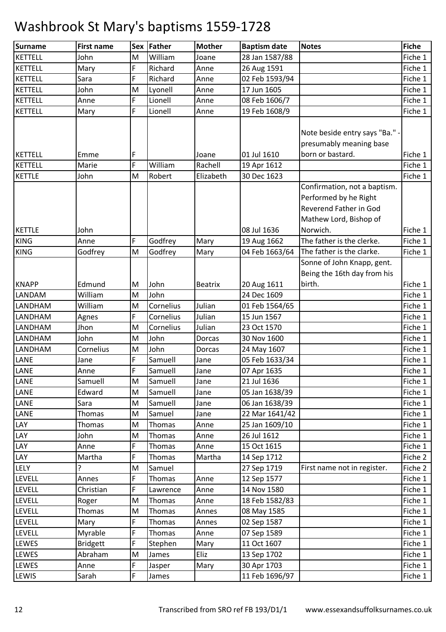| Surname                        | <b>First name</b> |        | Sex Father       | <b>Mother</b>  | <b>Baptism date</b>           | <b>Notes</b>                 | <b>Fiche</b>       |
|--------------------------------|-------------------|--------|------------------|----------------|-------------------------------|------------------------------|--------------------|
| <b>KETTELL</b>                 | John              | M      | William          | Joane          | 28 Jan 1587/88                |                              | Fiche 1            |
| <b>KETTELL</b>                 | Mary              | F      | Richard          | Anne           | 26 Aug 1591                   |                              | Fiche 1            |
| <b>KETTELL</b>                 | Sara              | F      | Richard          | Anne           | 02 Feb 1593/94                |                              | Fiche 1            |
| <b>KETTELL</b>                 | John              | M      | Lyonell          | Anne           | 17 Jun 1605                   |                              | Fiche 1            |
| <b>KETTELL</b>                 | Anne              | F      | Lionell          | Anne           | 08 Feb 1606/7                 |                              | Fiche 1            |
| <b>KETTELL</b>                 | Mary              | F      | Lionell          | Anne           | 19 Feb 1608/9                 |                              | Fiche 1            |
|                                |                   |        |                  |                |                               |                              |                    |
|                                |                   |        |                  |                |                               | Note beside entry says "Ba." |                    |
|                                |                   |        |                  |                |                               | presumably meaning base      |                    |
| <b>KETTELL</b>                 | Emme              | F      |                  | Joane          | 01 Jul 1610                   | born or bastard.             | Fiche 1            |
| <b>KETTELL</b>                 | Marie             | F      | William          | Rachell        | 19 Apr 1612                   |                              | Fiche 1            |
| <b>KETTLE</b>                  | John              | M      | Robert           | Elizabeth      | 30 Dec 1623                   |                              | Fiche 1            |
|                                |                   |        |                  |                |                               | Confirmation, not a baptism. |                    |
|                                |                   |        |                  |                |                               | Performed by he Right        |                    |
|                                |                   |        |                  |                |                               | Reverend Father in God       |                    |
|                                |                   |        |                  |                |                               | Mathew Lord, Bishop of       |                    |
| <b>KETTLE</b>                  | John              |        |                  |                | 08 Jul 1636                   | Norwich.                     | Fiche 1            |
| <b>KING</b>                    | Anne              | F      | Godfrey          | Mary           | 19 Aug 1662                   | The father is the clerke.    | Fiche 1            |
| <b>KING</b>                    | Godfrey           | M      | Godfrey          | Mary           | 04 Feb 1663/64                | The father is the clarke.    | Fiche 1            |
|                                |                   |        |                  |                |                               | Sonne of John Knapp, gent.   |                    |
|                                |                   |        |                  |                |                               | Being the 16th day from his  |                    |
| <b>KNAPP</b>                   | Edmund            | M      | John             | <b>Beatrix</b> | 20 Aug 1611                   | birth.                       | Fiche 1            |
| LANDAM                         | William           | M      | John             |                | 24 Dec 1609                   |                              | Fiche 1            |
| LANDHAM                        | William           | M      | Cornelius        | Julian         | 01 Feb 1564/65                |                              | Fiche 1            |
| LANDHAM                        | Agnes             | F      | Cornelius        | Julian         | 15 Jun 1567                   |                              | Fiche 1            |
| LANDHAM                        | Jhon              | M      | Cornelius        | Julian         | 23 Oct 1570                   |                              | Fiche 1            |
| LANDHAM                        | John              | M      | John             | Dorcas         | 30 Nov 1600                   |                              | Fiche 1            |
| LANDHAM                        | Cornelius         | M      | John             | Dorcas         | 24 May 1607                   |                              | Fiche 1            |
| LANE                           | Jane              | F      | Samuell          | Jane           | 05 Feb 1633/34                |                              | Fiche 1            |
| LANE                           | Anne              | F      | Samuell          | Jane           | 07 Apr 1635                   |                              | Fiche 1            |
| LANE                           | Samuell           | M      | Samuell          | Jane           | 21 Jul 1636                   |                              | Fiche 1            |
| LANE                           | Edward            | M      | Samuell          | Jane           | 05 Jan 1638/39                |                              | Fiche 1            |
| LANE                           | Sara              | M      | Samuell          | Jane           | 06 Jan 1638/39                |                              | Fiche 1            |
| LANE                           | Thomas            | M      | Samuel           | Jane           | 22 Mar 1641/42                |                              | Fiche 1            |
| LAY                            | Thomas            | M      | Thomas           | Anne           | 25 Jan 1609/10                |                              | Fiche 1            |
| LAY                            | John              | M      | Thomas           | Anne           | 26 Jul 1612                   |                              | Fiche 1            |
| LAY                            | Anne              | F      | Thomas           | Anne           | 15 Oct 1615                   |                              | Fiche 1            |
| LAY                            | Martha            | F      | Thomas           | Martha         | 14 Sep 1712                   |                              | Fiche 2            |
| LELY                           | ?                 | M<br>F | Samuel           |                | 27 Sep 1719                   | First name not in register.  | Fiche 2            |
| <b>LEVELL</b><br><b>LEVELL</b> | Annes             | F      | Thomas           | Anne           | 12 Sep 1577                   |                              | Fiche 1<br>Fiche 1 |
| <b>LEVELL</b>                  | Christian         | M      | Lawrence         | Anne           | 14 Nov 1580                   |                              | Fiche 1            |
| LEVELL                         | Roger<br>Thomas   | M      | Thomas<br>Thomas | Anne<br>Annes  | 18 Feb 1582/83<br>08 May 1585 |                              | Fiche 1            |
| LEVELL                         | Mary              | F      | Thomas           | Annes          | 02 Sep 1587                   |                              | Fiche 1            |
| <b>LEVELL</b>                  | Myrable           | F      | Thomas           | Anne           | 07 Sep 1589                   |                              | Fiche 1            |
| LEWES                          | <b>Bridgett</b>   | F      | Stephen          | Mary           | 11 Oct 1607                   |                              | Fiche 1            |
| LEWES                          | Abraham           | M      | James            | Eliz           | 13 Sep 1702                   |                              | Fiche 1            |
| LEWES                          | Anne              | F      | Jasper           | Mary           | 30 Apr 1703                   |                              | Fiche 1            |
| <b>LEWIS</b>                   | Sarah             | F      |                  |                | 11 Feb 1696/97                |                              | Fiche 1            |
|                                |                   |        | James            |                |                               |                              |                    |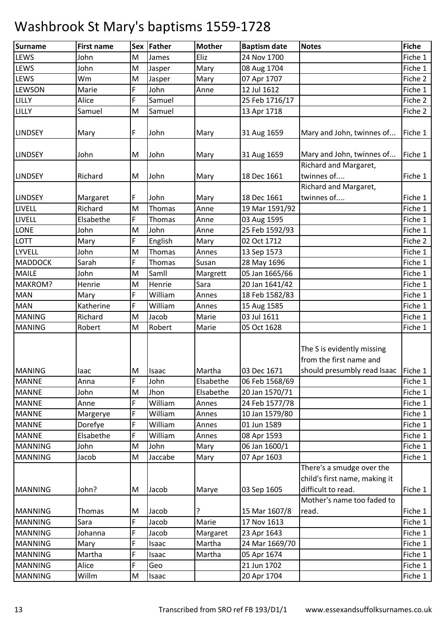| <b>Surname</b> | <b>First name</b> |        | Sex Father    | <b>Mother</b> | <b>Baptism date</b> | <b>Notes</b>                                        | <b>Fiche</b> |
|----------------|-------------------|--------|---------------|---------------|---------------------|-----------------------------------------------------|--------------|
| LEWS           | John              | M      | James         | Eliz          | 24 Nov 1700         |                                                     | Fiche 1      |
| LEWS           | John              | M      | Jasper        | Mary          | 08 Aug 1704         |                                                     | Fiche 1      |
| LEWS           | Wm                | M      | Jasper        | Mary          | 07 Apr 1707         |                                                     | Fiche 2      |
| <b>LEWSON</b>  | Marie             | F      | John          | Anne          | 12 Jul 1612         |                                                     | Fiche 1      |
| LILLY          | Alice             | F      | Samuel        |               | 25 Feb 1716/17      |                                                     | Fiche 2      |
| LILLY          | Samuel            | M      | Samuel        |               | 13 Apr 1718         |                                                     | Fiche 2      |
|                |                   |        |               |               |                     |                                                     |              |
| <b>LINDSEY</b> | Mary              | F      | John          | Mary          | 31 Aug 1659         | Mary and John, twinnes of                           | Fiche 1      |
|                |                   |        |               |               |                     |                                                     |              |
| <b>LINDSEY</b> | John              | M      | John          | Mary          | 31 Aug 1659         | Mary and John, twinnes of                           | Fiche 1      |
|                |                   |        |               |               |                     | Richard and Margaret,                               |              |
| <b>LINDSEY</b> | Richard           | M      | John          | Mary          | 18 Dec 1661         | twinnes of                                          | Fiche 1      |
|                |                   |        |               |               |                     | Richard and Margaret,                               |              |
| <b>LINDSEY</b> | Margaret          | F      | John          | Mary          | 18 Dec 1661         | twinnes of                                          | Fiche 1      |
| LIVELL         | Richard           | M      | Thomas        | Anne          | 19 Mar 1591/92      |                                                     | Fiche 1      |
| LIVELL         | Elsabethe         | F      | <b>Thomas</b> | Anne          | 03 Aug 1595         |                                                     | Fiche 1      |
| LONE           | John              | M      | John          | Anne          | 25 Feb 1592/93      |                                                     | Fiche 1      |
| <b>LOTT</b>    | Mary              | F      | English       | Mary          | 02 Oct 1712         |                                                     | Fiche 2      |
| LYVELL         | John              | M      | <b>Thomas</b> | Annes         | 13 Sep 1573         |                                                     | Fiche 1      |
| <b>MADDOCK</b> | Sarah             | F      | Thomas        | Susan         | 28 May 1696         |                                                     | Fiche 1      |
| <b>MAILE</b>   | John              | M      | Samll         | Margrett      | 05 Jan 1665/66      |                                                     | Fiche 1      |
| MAKROM?        | Henrie            | M      | Henrie        | Sara          | 20 Jan 1641/42      |                                                     | Fiche 1      |
| <b>MAN</b>     | Mary              | F      | William       | Annes         | 18 Feb 1582/83      |                                                     | Fiche 1      |
| <b>MAN</b>     | Katherine         | F      | William       | Annes         | 15 Aug 1585         |                                                     | Fiche 1      |
| <b>MANING</b>  | Richard           | M      | Jacob         | Marie         | 03 Jul 1611         |                                                     | Fiche 1      |
| <b>MANING</b>  | Robert            | M      | Robert        | Marie         | 05 Oct 1628         |                                                     | Fiche 1      |
|                |                   |        |               |               |                     |                                                     |              |
|                |                   |        |               |               |                     | The S is evidently missing                          |              |
|                |                   |        |               |               |                     | from the first name and                             |              |
| <b>MANING</b>  | laac              | M      | <b>Isaac</b>  | Martha        | 03 Dec 1671         | should presumbly read Isaac Fiche 1                 |              |
| <b>MANNE</b>   | Anna              | F      | John          | Elsabethe     | 06 Feb 1568/69      |                                                     | Fiche 1      |
| <b>MANNE</b>   | John              | M      | Jhon          | Elsabethe     | 20 Jan 1570/71      |                                                     | Fiche 1      |
| <b>MANNE</b>   | Anne              | F      | William       | Annes         | 24 Feb 1577/78      |                                                     | Fiche 1      |
| <b>MANNE</b>   | Margerye          | F<br>F | William       | Annes         | 10 Jan 1579/80      |                                                     | Fiche 1      |
| <b>MANNE</b>   | Dorefye           |        | William       | Annes         | 01 Jun 1589         |                                                     | Fiche 1      |
| <b>MANNE</b>   | Elsabethe         | F      | William       | Annes         | 08 Apr 1593         |                                                     | Fiche 1      |
| <b>MANNING</b> | John              | M      | John          | Mary          | 06 Jan 1600/1       |                                                     | Fiche 1      |
| <b>MANNING</b> | Jacob             | M      | Jaccabe       | Mary          | 07 Apr 1603         |                                                     | Fiche 1      |
|                |                   |        |               |               |                     | There's a smudge over the                           |              |
|                |                   |        |               |               |                     | child's first name, making it<br>difficult to read. |              |
| <b>MANNING</b> | John?             | M      | Jacob         | Marye         | 03 Sep 1605         | Mother's name too faded to                          | Fiche 1      |
| <b>MANNING</b> | Thomas            | M      | Jacob         | ?             | 15 Mar 1607/8       | read.                                               | Fiche 1      |
| <b>MANNING</b> | Sara              | F      | Jacob         | Marie         | 17 Nov 1613         |                                                     | Fiche 1      |
| <b>MANNING</b> | Johanna           | F      | Jacob         | Margaret      | 23 Apr 1643         |                                                     | Fiche 1      |
| <b>MANNING</b> | Mary              | F      | Isaac         | Martha        | 24 Mar 1669/70      |                                                     | Fiche 1      |
| <b>MANNING</b> | Martha            | F      | Isaac         | Martha        | 05 Apr 1674         |                                                     | Fiche 1      |
| <b>MANNING</b> | Alice             | F      | Geo           |               | 21 Jun 1702         |                                                     | Fiche 1      |
| <b>MANNING</b> | Willm             | M      | Isaac         |               | 20 Apr 1704         |                                                     | Fiche 1      |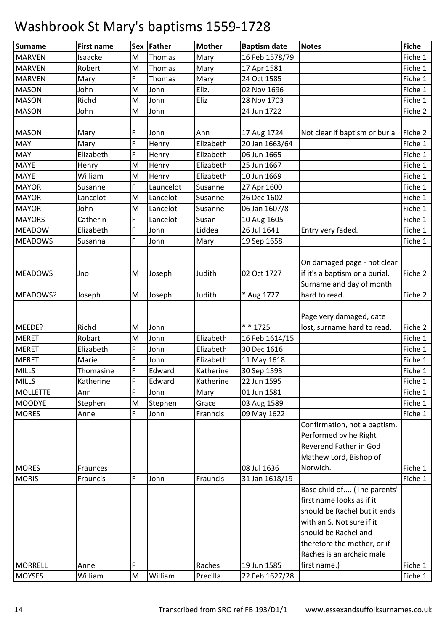| <b>Surname</b>  | <b>First name</b> |    | Sex Father | <b>Mother</b> | <b>Baptism date</b> | <b>Notes</b>                            | <b>Fiche</b> |
|-----------------|-------------------|----|------------|---------------|---------------------|-----------------------------------------|--------------|
| <b>MARVEN</b>   | Isaacke           | M  | Thomas     | Mary          | 16 Feb 1578/79      |                                         | Fiche 1      |
| <b>MARVEN</b>   | Robert            | M  | Thomas     | Mary          | 17 Apr 1581         |                                         | Fiche 1      |
| <b>MARVEN</b>   | Mary              | F  | Thomas     | Mary          | 24 Oct 1585         |                                         | Fiche 1      |
| <b>MASON</b>    | John              | M  | John       | Eliz.         | 02 Nov 1696         |                                         | Fiche 1      |
| <b>MASON</b>    | Richd             | M  | John       | Eliz          | 28 Nov 1703         |                                         | Fiche 1      |
| <b>MASON</b>    | John              | M  | John       |               | 24 Jun 1722         |                                         | Fiche 2      |
|                 |                   |    |            |               |                     |                                         |              |
| <b>MASON</b>    | Mary              | F  | John       | Ann           | 17 Aug 1724         | Not clear if baptism or burial. Fiche 2 |              |
| <b>MAY</b>      | Mary              | F  | Henry      | Elizabeth     | 20 Jan 1663/64      |                                         | Fiche 1      |
| <b>MAY</b>      | Elizabeth         | F  | Henry      | Elizabeth     | 06 Jun 1665         |                                         | Fiche 1      |
| MAYE            | Henry             | M  | Henry      | Elizabeth     | 25 Jun 1667         |                                         | Fiche 1      |
| <b>MAYE</b>     | William           | M  | Henry      | Elizabeth     | 10 Jun 1669         |                                         | Fiche 1      |
| <b>MAYOR</b>    | Susanne           | F  | Launcelot  | Susanne       | 27 Apr 1600         |                                         | Fiche 1      |
| <b>MAYOR</b>    | Lancelot          | M  | Lancelot   | Susanne       | 26 Dec 1602         |                                         | Fiche 1      |
| <b>MAYOR</b>    | John              | M  | Lancelot   | Susanne       | 06 Jan 1607/8       |                                         | Fiche 1      |
| <b>MAYORS</b>   | Catherin          | F  | Lancelot   | Susan         | 10 Aug 1605         |                                         | Fiche 1      |
| <b>MEADOW</b>   | Elizabeth         | F  | John       | Liddea        | 26 Jul 1641         | Entry very faded.                       | Fiche 1      |
| <b>MEADOWS</b>  | Susanna           | F  | John       | Mary          | 19 Sep 1658         |                                         | Fiche 1      |
|                 |                   |    |            |               |                     |                                         |              |
|                 |                   |    |            |               |                     | On damaged page - not clear             |              |
| <b>MEADOWS</b>  | Jno               | M  | Joseph     | Judith        | 02 Oct 1727         | if it's a baptism or a burial.          | Fiche 2      |
|                 |                   |    |            |               |                     | Surname and day of month                |              |
| MEADOWS?        | Joseph            | M  | Joseph     | Judith        | * Aug 1727          | hard to read.                           | Fiche 2      |
|                 |                   |    |            |               |                     |                                         |              |
|                 |                   |    |            |               |                     | Page very damaged, date                 |              |
| MEEDE?          | Richd             | M  | John       |               | $* * 1725$          | lost, surname hard to read.             | Fiche 2      |
| <b>MERET</b>    | Robart            | M  | John       | Elizabeth     | 16 Feb 1614/15      |                                         | Fiche 1      |
| <b>MERET</b>    | Elizabeth         | F  | John       | Elizabeth     | 30 Dec 1616         |                                         | Fiche 1      |
| <b>MERET</b>    | Marie             | F  | John       | Elizabeth     | 11 May 1618         |                                         | Fiche 1      |
| <b>MILLS</b>    | Thomasine         | F  | Edward     | Katherine     | 30 Sep 1593         |                                         | Fiche 1      |
| <b>MILLS</b>    | Katherine         | F  | Edward     | Katherine     | 22 Jun 1595         |                                         | Fiche 1      |
| <b>MOLLETTE</b> | Ann               | F  | John       | Mary          | 01 Jun 1581         |                                         | Fiche 1      |
| <b>MOODYE</b>   | Stephen           | M  | Stephen    | Grace         | 03 Aug 1589         |                                         | Fiche 1      |
| <b>MORES</b>    | Anne              | F. | John       | Franncis      | 09 May 1622         |                                         | Fiche 1      |
|                 |                   |    |            |               |                     | Confirmation, not a baptism.            |              |
|                 |                   |    |            |               |                     | Performed by he Right                   |              |
|                 |                   |    |            |               |                     | Reverend Father in God                  |              |
|                 |                   |    |            |               |                     | Mathew Lord, Bishop of                  |              |
| <b>MORES</b>    | Fraunces          |    |            |               | 08 Jul 1636         | Norwich.                                | Fiche 1      |
| <b>MORIS</b>    | Frauncis          | F  | John       | Frauncis      | 31 Jan 1618/19      |                                         | Fiche 1      |
|                 |                   |    |            |               |                     | Base child of (The parents'             |              |
|                 |                   |    |            |               |                     | first name looks as if it               |              |
|                 |                   |    |            |               |                     | should be Rachel but it ends            |              |
|                 |                   |    |            |               |                     | with an S. Not sure if it               |              |
|                 |                   |    |            |               |                     | should be Rachel and                    |              |
|                 |                   |    |            |               |                     | therefore the mother, or if             |              |
|                 |                   |    |            |               |                     | Raches is an archaic male               |              |
| <b>MORRELL</b>  | Anne              | F  |            | Raches        | 19 Jun 1585         | first name.)                            | Fiche 1      |
| <b>MOYSES</b>   | William           | M  | William    | Precilla      | 22 Feb 1627/28      |                                         | Fiche 1      |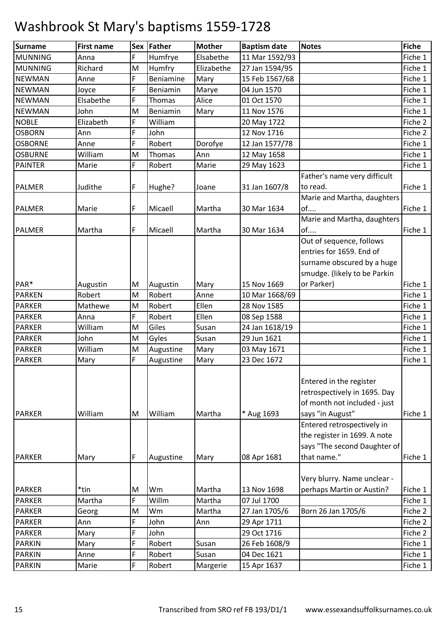| <b>Surname</b> | <b>First name</b> |    | Sex Father | <b>Mother</b> | <b>Baptism date</b> | <b>Notes</b>                                                                                                | <b>Fiche</b> |
|----------------|-------------------|----|------------|---------------|---------------------|-------------------------------------------------------------------------------------------------------------|--------------|
| <b>MUNNING</b> | Anna              | F  | Humfrye    | Elsabethe     | 11 Mar 1592/93      |                                                                                                             | Fiche 1      |
| MUNNING        | Richard           | M  | Humfry     | Elizabethe    | 27 Jan 1594/95      |                                                                                                             | Fiche 1      |
| <b>NEWMAN</b>  | Anne              | F  | Beniamine  | Mary          | 15 Feb 1567/68      |                                                                                                             | Fiche 1      |
| <b>NEWMAN</b>  | Joyce             | F  | Beniamin   | Marye         | 04 Jun 1570         |                                                                                                             | Fiche 1      |
| <b>NEWMAN</b>  | Elsabethe         | F  | Thomas     | Alice         | 01 Oct 1570         |                                                                                                             | Fiche 1      |
| <b>NEWMAN</b>  | John              | M  | Beniamin   | Mary          | 11 Nov 1576         |                                                                                                             | Fiche 1      |
| <b>NOBLE</b>   | Elizabeth         | F. | William    |               | 20 May 1722         |                                                                                                             | Fiche 2      |
| <b>OSBORN</b>  | Ann               | F  | John       |               | 12 Nov 1716         |                                                                                                             | Fiche 2      |
| <b>OSBORNE</b> | Anne              | F  | Robert     | Dorofye       | 12 Jan 1577/78      |                                                                                                             | Fiche 1      |
| <b>OSBURNE</b> | William           | M  | Thomas     | Ann           | 12 May 1658         |                                                                                                             | Fiche 1      |
| <b>PAINTER</b> | Marie             | F  | Robert     | Marie         | 29 May 1623         |                                                                                                             | Fiche 1      |
|                |                   |    |            |               |                     | Father's name very difficult                                                                                |              |
| <b>PALMER</b>  | Judithe           | F  | Hughe?     | Joane         | 31 Jan 1607/8       | to read.                                                                                                    | Fiche 1      |
|                |                   |    |            |               |                     | Marie and Martha, daughters                                                                                 |              |
| <b>PALMER</b>  | Marie             | F  | Micaell    | Martha        | 30 Mar 1634         | of                                                                                                          | Fiche 1      |
|                |                   |    |            |               |                     | Marie and Martha, daughters                                                                                 |              |
| <b>PALMER</b>  | Martha            | F  | Micaell    | Martha        | 30 Mar 1634         | of                                                                                                          | Fiche 1      |
|                |                   |    |            |               |                     | Out of sequence, follows                                                                                    |              |
|                |                   |    |            |               |                     | entries for 1659. End of                                                                                    |              |
|                |                   |    |            |               |                     | surname obscured by a huge                                                                                  |              |
|                |                   |    |            |               |                     | smudge. (likely to be Parkin                                                                                |              |
| PAR*           | Augustin          | M  | Augustin   | Mary          | 15 Nov 1669         | or Parker)                                                                                                  | Fiche 1      |
| <b>PARKEN</b>  | Robert            | M  | Robert     | Anne          | 10 Mar 1668/69      |                                                                                                             | Fiche 1      |
| <b>PARKER</b>  | Mathewe           | M  | Robert     | Ellen         | 28 Nov 1585         |                                                                                                             | Fiche 1      |
| <b>PARKER</b>  | Anna              | F  | Robert     | Ellen         | 08 Sep 1588         |                                                                                                             | Fiche 1      |
| <b>PARKER</b>  | William           | M  | Giles      | Susan         | 24 Jan 1618/19      |                                                                                                             | Fiche 1      |
| <b>PARKER</b>  | John              | M  | Gyles      | Susan         | 29 Jun 1621         |                                                                                                             | Fiche 1      |
| <b>PARKER</b>  | William           | M  | Augustine  | Mary          | 03 May 1671         |                                                                                                             | Fiche 1      |
| <b>PARKER</b>  | Mary              | F  | Augustine  | Mary          | 23 Dec 1672         |                                                                                                             | Fiche 1      |
| <b>PARKER</b>  | William           | M  | William    | Martha        | * Aug 1693          | Entered in the register<br>retrospectively in 1695. Day<br>of month not included - just<br>says "in August" | Fiche 1      |
|                |                   |    |            |               |                     | Entered retrospectively in<br>the register in 1699. A note<br>says "The second Daughter of                  |              |
| <b>PARKER</b>  | Mary              | F  | Augustine  | Mary          | 08 Apr 1681         | that name."                                                                                                 | Fiche 1      |
|                |                   |    |            |               |                     | Very blurry. Name unclear -                                                                                 |              |
| <b>PARKER</b>  | *tin              | M  | Wm         | Martha        | 13 Nov 1698         | perhaps Martin or Austin?                                                                                   | Fiche 1      |
| <b>PARKER</b>  | Martha            | F. | Willm      | Martha        | 07 Jul 1700         |                                                                                                             | Fiche 1      |
| <b>PARKER</b>  | Georg             | M  | Wm         | Martha        | 27 Jan 1705/6       | Born 26 Jan 1705/6                                                                                          | Fiche 2      |
| <b>PARKER</b>  | Ann               | F  | John       | Ann           | 29 Apr 1711         |                                                                                                             | Fiche 2      |
| <b>PARKER</b>  | Mary              | F  | John       |               | 29 Oct 1716         |                                                                                                             | Fiche 2      |
| <b>PARKIN</b>  | Mary              | F  | Robert     | Susan         | 26 Feb 1608/9       |                                                                                                             | Fiche 1      |
| <b>PARKIN</b>  | Anne              | F  | Robert     | Susan         | 04 Dec 1621         |                                                                                                             | Fiche 1      |
| <b>PARKIN</b>  | Marie             | F  | Robert     | Margerie      | 15 Apr 1637         |                                                                                                             | Fiche 1      |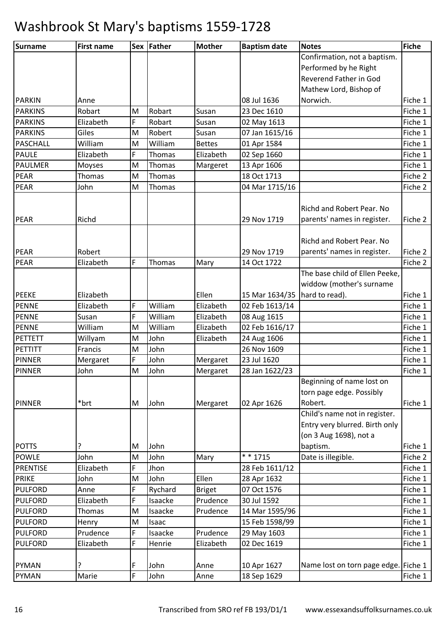| Surname         | <b>First name</b> |   | Sex Father | <b>Mother</b> | <b>Baptism date</b>             | <b>Notes</b>                         | <b>Fiche</b> |
|-----------------|-------------------|---|------------|---------------|---------------------------------|--------------------------------------|--------------|
|                 |                   |   |            |               |                                 | Confirmation, not a baptism.         |              |
|                 |                   |   |            |               |                                 | Performed by he Right                |              |
|                 |                   |   |            |               |                                 | Reverend Father in God               |              |
|                 |                   |   |            |               |                                 | Mathew Lord, Bishop of               |              |
| <b>PARKIN</b>   | Anne              |   |            |               | 08 Jul 1636                     | Norwich.                             | Fiche 1      |
| <b>PARKINS</b>  | Robart            | M | Robart     | Susan         | 23 Dec 1610                     |                                      | Fiche 1      |
| <b>PARKINS</b>  | Elizabeth         | F | Robart     | Susan         | 02 May 1613                     |                                      | Fiche 1      |
| <b>PARKINS</b>  | Giles             | M | Robert     | Susan         | 07 Jan 1615/16                  |                                      | Fiche 1      |
| <b>PASCHALL</b> | William           | M | William    | <b>Bettes</b> | 01 Apr 1584                     |                                      | Fiche 1      |
| <b>PAULE</b>    | Elizabeth         | F | Thomas     | Elizabeth     | 02 Sep 1660                     |                                      | Fiche 1      |
| <b>PAULMER</b>  | Moyses            | M | Thomas     | Margeret      | 13 Apr 1606                     |                                      | Fiche 1      |
| PEAR            | Thomas            | M | Thomas     |               | 18 Oct 1713                     |                                      | Fiche 2      |
| PEAR            | John              | M | Thomas     |               | 04 Mar 1715/16                  |                                      | Fiche 2      |
|                 |                   |   |            |               |                                 |                                      |              |
|                 |                   |   |            |               |                                 | Richd and Robert Pear. No            |              |
| <b>PEAR</b>     | Richd             |   |            |               | 29 Nov 1719                     | parents' names in register.          | Fiche 2      |
|                 |                   |   |            |               |                                 |                                      |              |
|                 |                   |   |            |               |                                 | Richd and Robert Pear. No            |              |
| <b>PEAR</b>     | Robert            |   |            |               | 29 Nov 1719                     | parents' names in register.          | Fiche 2      |
| <b>PEAR</b>     | Elizabeth         | F | Thomas     | Mary          | 14 Oct 1722                     |                                      | Fiche 2      |
|                 |                   |   |            |               |                                 | The base child of Ellen Peeke,       |              |
|                 |                   |   |            |               |                                 | widdow (mother's surname             |              |
| <b>PEEKE</b>    | Elizabeth         |   |            | Ellen         | 15 Mar 1634/35   hard to read). |                                      | Fiche 1      |
| <b>PENNE</b>    | Elizabeth         | F | William    | Elizabeth     | 02 Feb 1613/14                  |                                      | Fiche 1      |
| <b>PENNE</b>    | Susan             | F | William    | Elizabeth     | 08 Aug 1615                     |                                      | Fiche 1      |
| <b>PENNE</b>    | William           | M | William    | Elizabeth     | 02 Feb 1616/17                  |                                      | Fiche 1      |
| <b>PETTETT</b>  | Willyam           | M | John       | Elizabeth     | 24 Aug 1606                     |                                      | Fiche 1      |
| PETTITT         | Francis           | M | John       |               | 26 Nov 1609                     |                                      | Fiche 1      |
| <b>PINNER</b>   | Mergaret          | F | John       | Mergaret      | 23 Jul 1620                     |                                      | Fiche 1      |
| <b>PINNER</b>   | John              | M | John       | Mergaret      | 28 Jan 1622/23                  |                                      | Fiche 1      |
|                 |                   |   |            |               |                                 | Beginning of name lost on            |              |
|                 |                   |   |            |               |                                 | torn page edge. Possibly             |              |
| <b>PINNER</b>   | *brt              | M | John       | Mergaret      | 02 Apr 1626                     | Robert.                              | Fiche 1      |
|                 |                   |   |            |               |                                 | Child's name not in register.        |              |
|                 |                   |   |            |               |                                 | Entry very blurred. Birth only       |              |
|                 |                   |   |            |               |                                 | (on 3 Aug 1698), not a               |              |
| <b>POTTS</b>    |                   | M | John       |               |                                 | baptism.                             | Fiche 1      |
| <b>POWLE</b>    | John              | M | John       | Mary          | * * 1715                        | Date is illegible.                   | Fiche 2      |
| <b>PRENTISE</b> | Elizabeth         | F | Jhon       |               | 28 Feb 1611/12                  |                                      | Fiche 1      |
| <b>PRIKE</b>    | John              | M | John       | Ellen         | 28 Apr 1632                     |                                      | Fiche 1      |
| <b>PULFORD</b>  | Anne              | F | Rychard    | <b>Briget</b> | 07 Oct 1576                     |                                      | Fiche 1      |
| <b>PULFORD</b>  | Elizabeth         | F | Isaacke    | Prudence      | 30 Jul 1592                     |                                      | Fiche 1      |
| <b>PULFORD</b>  | Thomas            | M | Isaacke    | Prudence      | 14 Mar 1595/96                  |                                      | Fiche 1      |
| <b>PULFORD</b>  | Henry             | M | Isaac      |               | 15 Feb 1598/99                  |                                      | Fiche 1      |
| <b>PULFORD</b>  | Prudence          | F | Isaacke    | Prudence      | 29 May 1603                     |                                      | Fiche 1      |
| <b>PULFORD</b>  | Elizabeth         | F | Henrie     | Elizabeth     | 02 Dec 1619                     |                                      | Fiche 1      |
|                 |                   |   |            |               |                                 |                                      |              |
| <b>PYMAN</b>    |                   | F | John       | Anne          | 10 Apr 1627                     | Name lost on torn page edge. Fiche 1 |              |
| <b>PYMAN</b>    | Marie             | F | John       | Anne          | 18 Sep 1629                     |                                      | Fiche 1      |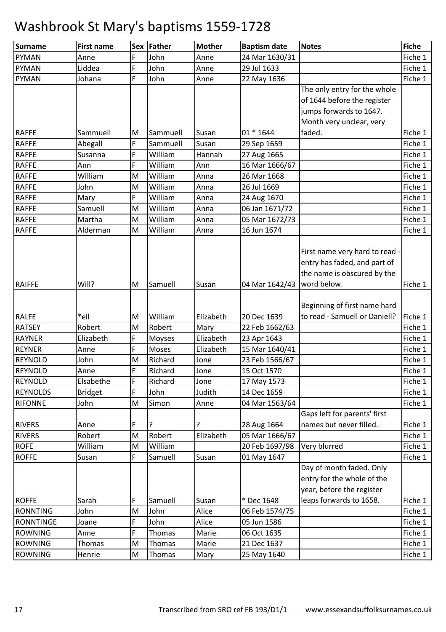| Surname          | <b>First name</b> |   | Sex Father | <b>Mother</b> | <b>Baptism date</b> | <b>Notes</b>                   | <b>Fiche</b> |
|------------------|-------------------|---|------------|---------------|---------------------|--------------------------------|--------------|
| <b>PYMAN</b>     | Anne              | F | John       | Anne          | 24 Mar 1630/31      |                                | Fiche 1      |
| <b>PYMAN</b>     | Liddea            | F | John       | Anne          | 29 Jul 1633         |                                | Fiche 1      |
| <b>PYMAN</b>     | Johana            | F | John       | Anne          | 22 May 1636         |                                | Fiche 1      |
|                  |                   |   |            |               |                     | The only entry for the whole   |              |
|                  |                   |   |            |               |                     | of 1644 before the register    |              |
|                  |                   |   |            |               |                     | jumps forwards to 1647.        |              |
|                  |                   |   |            |               |                     | Month very unclear, very       |              |
| <b>RAFFE</b>     | Sammuell          | M | Sammuell   | Susan         | 01 * 1644           | faded.                         | Fiche 1      |
| <b>RAFFE</b>     | Abegall           | F | Sammuell   | Susan         | 29 Sep 1659         |                                | Fiche 1      |
| <b>RAFFE</b>     | Susanna           | F | William    | Hannah        | 27 Aug 1665         |                                | Fiche 1      |
| <b>RAFFE</b>     | Ann               | F | William    | Ann           | 16 Mar 1666/67      |                                | Fiche 1      |
| <b>RAFFE</b>     | William           | M | William    | Anna          | 26 Mar 1668         |                                | Fiche 1      |
| <b>RAFFE</b>     | John              | M | William    | Anna          | 26 Jul 1669         |                                | Fiche 1      |
| <b>RAFFE</b>     | Mary              | F | William    | Anna          | 24 Aug 1670         |                                | Fiche 1      |
| <b>RAFFE</b>     | Samuell           | M | William    | Anna          | 06 Jan 1671/72      |                                | Fiche 1      |
| <b>RAFFE</b>     | Martha            | M | William    | Anna          | 05 Mar 1672/73      |                                | Fiche 1      |
| <b>RAFFE</b>     | Alderman          | M | William    | Anna          | 16 Jun 1674         |                                | Fiche 1      |
|                  |                   |   |            |               |                     |                                |              |
|                  |                   |   |            |               |                     | First name very hard to read - |              |
|                  |                   |   |            |               |                     | entry has faded, and part of   |              |
|                  |                   |   |            |               |                     | the name is obscured by the    |              |
| <b>RAIFFE</b>    | Will?             | M | Samuell    | Susan         | 04 Mar 1642/43      | word below.                    | Fiche 1      |
|                  |                   |   |            |               |                     |                                |              |
|                  |                   |   |            |               |                     | Beginning of first name hard   |              |
| <b>RALFE</b>     | *ell              | M | William    | Elizabeth     | 20 Dec 1639         | to read - Samuell or Daniell?  | Fiche 1      |
| <b>RATSEY</b>    | Robert            | M | Robert     | Mary          | 22 Feb 1662/63      |                                | Fiche 1      |
| <b>RAYNER</b>    | Elizabeth         | F | Moyses     | Elizabeth     | 23 Apr 1643         |                                | Fiche 1      |
| <b>REYNER</b>    | Anne              | F | Moses      | Elizabeth     | 15 Mar 1640/41      |                                | Fiche 1      |
| <b>REYNOLD</b>   | John              | M | Richard    | Jone          | 23 Feb 1566/67      |                                | Fiche 1      |
| <b>REYNOLD</b>   | Anne              | F | Richard    | Jone          | 15 Oct 1570         |                                | Fiche 1      |
| <b>REYNOLD</b>   | Elsabethe         | F | Richard    | Jone          | 17 May 1573         |                                | Fiche 1      |
| <b>REYNOLDS</b>  | <b>Bridget</b>    | F | John       | Judith        | 14 Dec 1659         |                                | Fiche 1      |
| <b>RIFONNE</b>   | John              | M | Simon      | Anne          | 04 Mar 1563/64      |                                | Fiche 1      |
|                  |                   |   |            |               |                     | Gaps left for parents' first   |              |
| <b>RIVERS</b>    | Anne              | F | ?          | ?             | 28 Aug 1664         | names but never filled.        | Fiche 1      |
| <b>RIVERS</b>    | Robert            | M | Robert     | Elizabeth     | 05 Mar 1666/67      |                                | Fiche 1      |
| <b>ROFE</b>      | William           | M | William    |               | 20 Feb 1697/98      | Very blurred                   | Fiche 1      |
| <b>ROFFE</b>     | Susan             | F | Samuell    | Susan         | 01 May 1647         |                                | Fiche 1      |
|                  |                   |   |            |               |                     | Day of month faded. Only       |              |
|                  |                   |   |            |               |                     | entry for the whole of the     |              |
|                  |                   |   |            |               |                     | year, before the register      |              |
| <b>ROFFE</b>     | Sarah             | F | Samuell    | Susan         | * Dec 1648          | leaps forwards to 1658.        | Fiche 1      |
| <b>RONNTING</b>  | John              | M | John       | Alice         | 06 Feb 1574/75      |                                | Fiche 1      |
| <b>RONNTINGE</b> | Joane             | F | John       | Alice         | 05 Jun 1586         |                                | Fiche 1      |
| <b>ROWNING</b>   | Anne              | F | Thomas     | Marie         | 06 Oct 1635         |                                | Fiche 1      |
| <b>ROWNING</b>   | Thomas            | M | Thomas     | Marie         | 21 Dec 1637         |                                | Fiche 1      |
| <b>ROWNING</b>   | Henrie            | M | Thomas     | Mary          | 25 May 1640         |                                | Fiche 1      |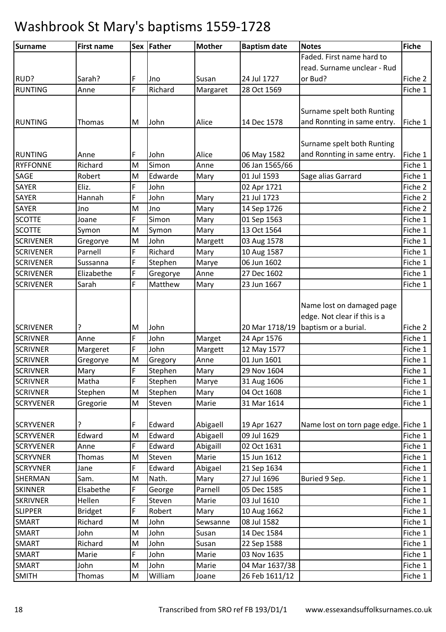| Faded. First name hard to<br>read. Surname unclear - Rud<br>F<br>or Bud?<br>RUD?<br>Sarah?<br>24 Jul 1727<br>Susan<br>Jno<br>F<br>Richard<br><b>RUNTING</b><br>28 Oct 1569<br>Anne | Fiche 2<br>Fiche 1 |
|------------------------------------------------------------------------------------------------------------------------------------------------------------------------------------|--------------------|
|                                                                                                                                                                                    |                    |
|                                                                                                                                                                                    |                    |
|                                                                                                                                                                                    |                    |
| Margaret                                                                                                                                                                           |                    |
|                                                                                                                                                                                    |                    |
| Surname spelt both Runting                                                                                                                                                         |                    |
| and Ronnting in same entry.<br>14 Dec 1578<br><b>RUNTING</b><br>M<br>John<br>Alice<br>Thomas                                                                                       | Fiche 1            |
|                                                                                                                                                                                    |                    |
| Surname spelt both Runting                                                                                                                                                         |                    |
| and Ronnting in same entry.<br>RUNTING<br>F<br>John<br>Alice<br>06 May 1582<br>Anne                                                                                                | Fiche 1            |
| Simon<br>06 Jan 1565/66<br><b>RYFFONNE</b><br>Richard<br>M<br>Anne                                                                                                                 | Fiche 1            |
| Sage alias Garrard<br>SAGE<br>M<br>Edwarde<br>01 Jul 1593<br>Robert<br>Mary                                                                                                        | Fiche 1            |
| F<br><b>SAYER</b><br>Eliz.<br>John<br>02 Apr 1721                                                                                                                                  | Fiche 2            |
| F<br>Hannah<br>SAYER<br>John<br>Mary<br>21 Jul 1723                                                                                                                                | Fiche 2            |
| SAYER<br>M<br>Jno<br>Mary<br>14 Sep 1726<br>Jno                                                                                                                                    | Fiche 2            |
| F<br><b>SCOTTE</b><br>Simon<br>Mary<br>01 Sep 1563<br>Joane                                                                                                                        | Fiche 1            |
| <b>SCOTTE</b><br>13 Oct 1564<br>M<br>Symon<br>Symon<br>Mary                                                                                                                        | Fiche 1            |
| <b>SCRIVENER</b><br>M<br>John<br>Margett<br>Gregorye<br>03 Aug 1578                                                                                                                | Fiche 1            |
| F<br>Parnell<br>Richard<br>10 Aug 1587<br><b>SCRIVENER</b><br>Mary                                                                                                                 | Fiche 1            |
| F<br>06 Jun 1602<br><b>SCRIVENER</b><br>Sussanna<br>Stephen<br>Marye                                                                                                               | Fiche 1            |
| F<br>Anne<br>27 Dec 1602<br><b>SCRIVENER</b><br>Elizabethe<br>Gregorye                                                                                                             | Fiche 1            |
| F<br><b>SCRIVENER</b><br>Sarah<br>Matthew<br>23 Jun 1667<br>Mary                                                                                                                   | Fiche 1            |
|                                                                                                                                                                                    |                    |
| Name lost on damaged page                                                                                                                                                          |                    |
| edge. Not clear if this is a                                                                                                                                                       |                    |
| <b>SCRIVENER</b><br>John<br>20 Mar 1718/19<br>baptism or a burial.<br>M                                                                                                            | Fiche 2            |
| F<br><b>SCRIVNER</b><br>John<br>Anne<br>Marget<br>24 Apr 1576                                                                                                                      | Fiche 1            |
| F<br><b>SCRIVNER</b><br>John<br>Margeret<br>Margett<br>12 May 1577                                                                                                                 | Fiche 1            |
| M<br>01 Jun 1601<br><b>SCRIVNER</b><br>Gregorye<br>Anne<br>Gregory                                                                                                                 | Fiche 1            |
| F<br><b>SCRIVNER</b><br>Mary<br>Stephen<br>Mary<br>29 Nov 1604                                                                                                                     | Fiche 1            |
| F<br>Matha<br>Stephen<br>Marye<br>31 Aug 1606<br><b>SCRIVNER</b>                                                                                                                   | Fiche 1            |
| <b>SCRIVNER</b><br>Stephen<br>Mary<br>04 Oct 1608<br>Stephen<br>M                                                                                                                  | Fiche 1            |
| M<br><b>SCRYVENER</b><br>Steven<br>Marie<br>31 Mar 1614<br>Gregorie                                                                                                                | Fiche 1            |
| Edward<br>Abigaell<br>Name lost on torn page edge. Fiche 1<br><b>SCRYVENER</b><br>F<br>19 Apr 1627<br>?                                                                            |                    |
| Edward<br>Abigaell<br>09 Jul 1629<br><b>SCRYVENER</b><br>Edward<br>M                                                                                                               | Fiche 1            |
| F<br><b>SCRYVENER</b><br>Edward<br>Abigaill<br>02 Oct 1631<br>Anne                                                                                                                 | Fiche 1            |
| 15 Jun 1612<br><b>SCRYVNER</b><br>Thomas<br>M<br>Steven<br>Marie                                                                                                                   | Fiche 1            |
| F<br>Edward<br>Abigael<br><b>SCRYVNER</b><br>21 Sep 1634<br>Jane                                                                                                                   | Fiche 1            |
| Sam.<br>SHERMAN<br>M<br>Nath.<br>Mary<br>27 Jul 1696<br>Buried 9 Sep.                                                                                                              | Fiche 1            |
| F<br>Parnell<br><b>SKINNER</b><br>Elsabethe<br>05 Dec 1585<br>George                                                                                                               | Fiche 1            |
| F<br><b>SKRIVNER</b><br>Hellen<br>Steven<br>03 Jul 1610<br>Marie                                                                                                                   | Fiche 1            |
| F<br><b>SLIPPER</b><br>Robert<br><b>Bridget</b><br>Mary<br>10 Aug 1662                                                                                                             | Fiche 1            |
| 08 Jul 1582<br>SMART<br>Richard<br>M<br>John<br>Sewsanne                                                                                                                           | Fiche 1            |
| John<br>SMART<br>John<br>M<br>14 Dec 1584<br>Susan                                                                                                                                 | Fiche 1            |
| John<br><b>SMART</b><br>Richard<br>M<br>Susan<br>22 Sep 1588                                                                                                                       | Fiche 1            |
| F<br>SMART<br>John<br>Marie<br>Marie<br>03 Nov 1635                                                                                                                                | Fiche 1            |
| John<br><b>SMART</b><br>John<br>Marie<br>04 Mar 1637/38<br>M                                                                                                                       | Fiche 1            |
| <b>SMITH</b><br>M<br>William<br>Thomas<br>26 Feb 1611/12<br>Joane                                                                                                                  | Fiche 1            |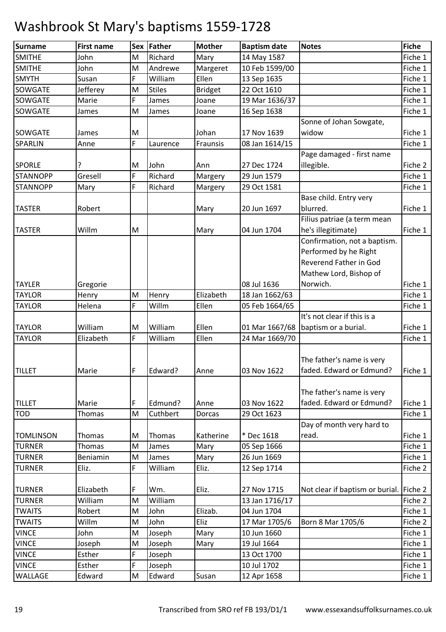| <b>Surname</b>   | <b>First name</b> | Sex | Father        | <b>Mother</b>  | <b>Baptism date</b> | <b>Notes</b>                            | <b>Fiche</b> |
|------------------|-------------------|-----|---------------|----------------|---------------------|-----------------------------------------|--------------|
| <b>SMITHE</b>    | John              | M   | Richard       | Mary           | 14 May 1587         |                                         | Fiche 1      |
| <b>SMITHE</b>    | John              | M   | Andrewe       | Margeret       | 10 Feb 1599/00      |                                         | Fiche 1      |
| <b>SMYTH</b>     | Susan             | F   | William       | Ellen          | 13 Sep 1635         |                                         | Fiche 1      |
| <b>SOWGATE</b>   | Jefferey          | M   | <b>Stiles</b> | <b>Bridget</b> | 22 Oct 1610         |                                         | Fiche 1      |
| <b>SOWGATE</b>   | Marie             | F   | James         | Joane          | 19 Mar 1636/37      |                                         | Fiche 1      |
| SOWGATE          | James             | M   | James         | Joane          | 16 Sep 1638         |                                         | Fiche 1      |
|                  |                   |     |               |                |                     | Sonne of Johan Sowgate,                 |              |
| <b>SOWGATE</b>   | James             | M   |               | Johan          | 17 Nov 1639         | widow                                   | Fiche 1      |
| <b>SPARLIN</b>   | Anne              | F.  | Laurence      | Fraunsis       | 08 Jan 1614/15      |                                         | Fiche 1      |
|                  |                   |     |               |                |                     | Page damaged - first name               |              |
| <b>SPORLE</b>    |                   | M   | John          | Ann            | 27 Dec 1724         | illegible.                              | Fiche 2      |
| <b>STANNOPP</b>  | Gresell           | F.  | Richard       | Margery        | 29 Jun 1579         |                                         | Fiche 1      |
| <b>STANNOPP</b>  | Mary              | F   | Richard       | Margery        | 29 Oct 1581         |                                         | Fiche 1      |
|                  |                   |     |               |                |                     | Base child. Entry very                  |              |
| <b>TASTER</b>    | Robert            |     |               | Mary           | 20 Jun 1697         | blurred.                                | Fiche 1      |
|                  |                   |     |               |                |                     | Filius patriae (a term mean             |              |
| <b>TASTER</b>    | Willm             | M   |               | Mary           | 04 Jun 1704         | he's illegitimate)                      | Fiche 1      |
|                  |                   |     |               |                |                     | Confirmation, not a baptism.            |              |
|                  |                   |     |               |                |                     | Performed by he Right                   |              |
|                  |                   |     |               |                |                     | <b>Reverend Father in God</b>           |              |
|                  |                   |     |               |                |                     | Mathew Lord, Bishop of                  |              |
| <b>TAYLER</b>    | Gregorie          |     |               |                | 08 Jul 1636         | Norwich.                                | Fiche 1      |
| <b>TAYLOR</b>    | Henry             | M   | Henry         | Elizabeth      | 18 Jan 1662/63      |                                         | Fiche 1      |
| <b>TAYLOR</b>    | Helena            | F.  | Willm         | Ellen          | 05 Feb 1664/65      |                                         | Fiche 1      |
|                  |                   |     |               |                |                     | It's not clear if this is a             |              |
| <b>TAYLOR</b>    | William           | M   | William       | Ellen          | 01 Mar 1667/68      | baptism or a burial.                    | Fiche 1      |
| <b>TAYLOR</b>    | Elizabeth         | F.  | William       | Ellen          | 24 Mar 1669/70      |                                         | Fiche 1      |
|                  |                   |     |               |                |                     |                                         |              |
|                  |                   |     |               |                |                     | The father's name is very               |              |
| <b>TILLET</b>    | Marie             | F   | Edward?       | Anne           | 03 Nov 1622         | faded. Edward or Edmund?                | Fiche 1      |
|                  |                   |     |               |                |                     |                                         |              |
|                  |                   |     |               |                |                     | The father's name is very               |              |
| <b>TILLET</b>    | Marie             | F   | Edmund?       | Anne           | 03 Nov 1622         | faded. Edward or Edmund?                | Fiche 1      |
| <b>TOD</b>       | Thomas            | M   | Cuthbert      | Dorcas         | 29 Oct 1623         |                                         | Fiche 1      |
|                  |                   |     |               |                |                     | Day of month very hard to               |              |
| <b>TOMLINSON</b> | Thomas            | M   | Thomas        | Katherine      | * Dec 1618          | read.                                   | Fiche 1      |
| <b>TURNER</b>    | Thomas            | M   | James         | Mary           | 05 Sep 1666         |                                         | Fiche 1      |
| <b>TURNER</b>    | Beniamin          | M   | James         | Mary           | 26 Jun 1669         |                                         | Fiche 1      |
| <b>TURNER</b>    | Eliz.             | F   | William       | Eliz.          | 12 Sep 1714         |                                         | Fiche 2      |
| <b>TURNER</b>    | Elizabeth         | F   | Wm.           | Eliz.          | 27 Nov 1715         | Not clear if baptism or burial. Fiche 2 |              |
| <b>TURNER</b>    | William           | M   | William       |                | 13 Jan 1716/17      |                                         | Fiche 2      |
| <b>TWAITS</b>    | Robert            | M   | John          | Elizab.        | 04 Jun 1704         |                                         | Fiche 1      |
| <b>TWAITS</b>    | Willm             | M   | John          | Eliz           | 17 Mar 1705/6       | Born 8 Mar 1705/6                       | Fiche 2      |
| <b>VINCE</b>     | John              | M   | Joseph        | Mary           | 10 Jun 1660         |                                         | Fiche 1      |
| <b>VINCE</b>     | Joseph            | M   | Joseph        | Mary           | 19 Jul 1664         |                                         | Fiche 1      |
| <b>VINCE</b>     | Esther            | F   | Joseph        |                | 13 Oct 1700         |                                         | Fiche 1      |
| <b>VINCE</b>     | Esther            | F   | Joseph        |                | 10 Jul 1702         |                                         | Fiche 1      |
| WALLAGE          | Edward            | M   | Edward        | Susan          | 12 Apr 1658         |                                         | Fiche 1      |